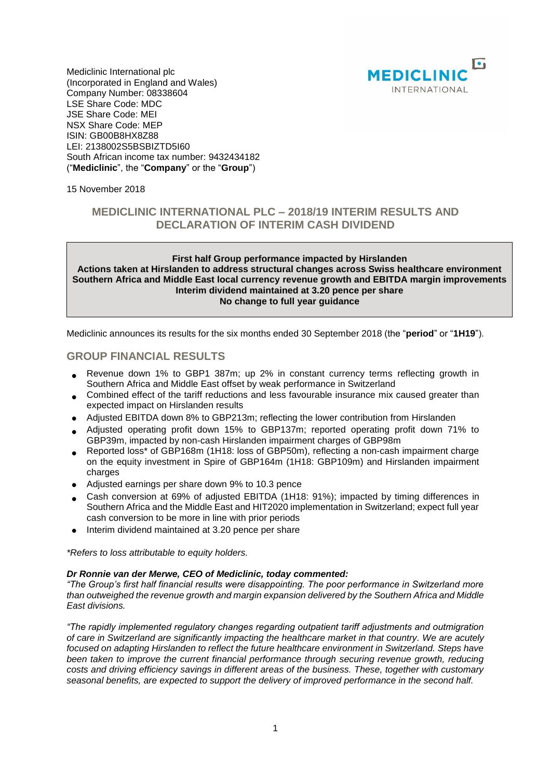

Mediclinic International plc (Incorporated in England and Wales) Company Number: 08338604 LSE Share Code: MDC JSE Share Code: MEI NSX Share Code: MEP ISIN: GB00B8HX8Z88 LEI: 2138002S5BSBIZTD5I60 South African income tax number: 9432434182 ("**Mediclinic**", the "**Company**" or the "**Group**")

15 November 2018

# **MEDICLINIC INTERNATIONAL PLC – 2018/19 INTERIM RESULTS AND DECLARATION OF INTERIM CASH DIVIDEND**

**First half Group performance impacted by Hirslanden Actions taken at Hirslanden to address structural changes across Swiss healthcare environment Southern Africa and Middle East local currency revenue growth and EBITDA margin improvements Interim dividend maintained at 3.20 pence per share No change to full year guidance**

Mediclinic announces its results for the six months ended 30 September 2018 (the "**period**" or "**1H19**").

## **GROUP FINANCIAL RESULTS**

- Revenue down 1% to GBP1 387m; up 2% in constant currency terms reflecting growth in Southern Africa and Middle East offset by weak performance in Switzerland
- Combined effect of the tariff reductions and less favourable insurance mix caused greater than expected impact on Hirslanden results
- Adjusted EBITDA down 8% to GBP213m; reflecting the lower contribution from Hirslanden
- Adjusted operating profit down 15% to GBP137m; reported operating profit down 71% to GBP39m, impacted by non-cash Hirslanden impairment charges of GBP98m
- Reported loss\* of GBP168m (1H18: loss of GBP50m), reflecting a non-cash impairment charge on the equity investment in Spire of GBP164m (1H18: GBP109m) and Hirslanden impairment charges
- Adjusted earnings per share down 9% to 10.3 pence
- Cash conversion at 69% of adjusted EBITDA (1H18: 91%); impacted by timing differences in Southern Africa and the Middle East and HIT2020 implementation in Switzerland; expect full year cash conversion to be more in line with prior periods
- Interim dividend maintained at 3.20 pence per share

*\*Refers to loss attributable to equity holders.*

## *Dr Ronnie van der Merwe, CEO of Mediclinic, today commented:*

*"The Group's first half financial results were disappointing. The poor performance in Switzerland more than outweighed the revenue growth and margin expansion delivered by the Southern Africa and Middle East divisions.*

*"The rapidly implemented regulatory changes regarding outpatient tariff adjustments and outmigration of care in Switzerland are significantly impacting the healthcare market in that country. We are acutely focused on adapting Hirslanden to reflect the future healthcare environment in Switzerland. Steps have*  been taken to improve the current financial performance through securing revenue growth, reducing *costs and driving efficiency savings in different areas of the business. These, together with customary seasonal benefits, are expected to support the delivery of improved performance in the second half.*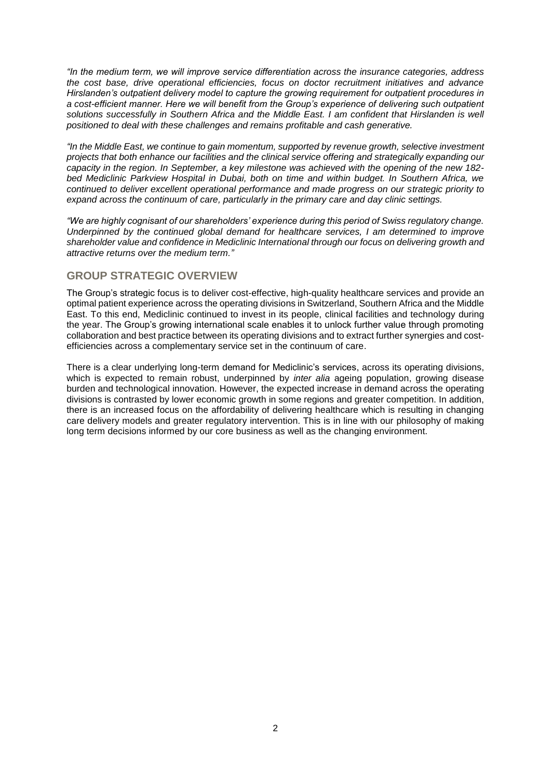*"In the medium term, we will improve service differentiation across the insurance categories, address the cost base, drive operational efficiencies, focus on doctor recruitment initiatives and advance Hirslanden's outpatient delivery model to capture the growing requirement for outpatient procedures in a cost-efficient manner. Here we will benefit from the Group's experience of delivering such outpatient solutions successfully in Southern Africa and the Middle East. I am confident that Hirslanden is well positioned to deal with these challenges and remains profitable and cash generative.*

*"In the Middle East, we continue to gain momentum, supported by revenue growth, selective investment projects that both enhance our facilities and the clinical service offering and strategically expanding our capacity in the region. In September, a key milestone was achieved with the opening of the new 182 bed Mediclinic Parkview Hospital in Dubai, both on time and within budget. In Southern Africa, we continued to deliver excellent operational performance and made progress on our strategic priority to expand across the continuum of care, particularly in the primary care and day clinic settings.*

*"We are highly cognisant of our shareholders' experience during this period of Swiss regulatory change. Underpinned by the continued global demand for healthcare services, I am determined to improve shareholder value and confidence in Mediclinic International through our focus on delivering growth and attractive returns over the medium term."*

## **GROUP STRATEGIC OVERVIEW**

The Group's strategic focus is to deliver cost-effective, high-quality healthcare services and provide an optimal patient experience across the operating divisions in Switzerland, Southern Africa and the Middle East. To this end, Mediclinic continued to invest in its people, clinical facilities and technology during the year. The Group's growing international scale enables it to unlock further value through promoting collaboration and best practice between its operating divisions and to extract further synergies and costefficiencies across a complementary service set in the continuum of care.

There is a clear underlying long-term demand for Mediclinic's services, across its operating divisions, which is expected to remain robust, underpinned by *inter alia* ageing population, growing disease burden and technological innovation. However, the expected increase in demand across the operating divisions is contrasted by lower economic growth in some regions and greater competition. In addition, there is an increased focus on the affordability of delivering healthcare which is resulting in changing care delivery models and greater regulatory intervention. This is in line with our philosophy of making long term decisions informed by our core business as well as the changing environment.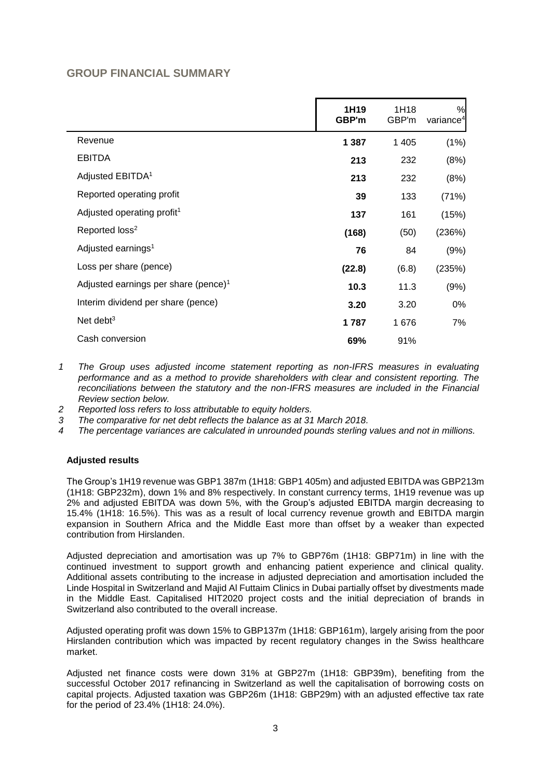# **GROUP FINANCIAL SUMMARY**

|                                                  | 1H19<br>GBP'm | 1H18<br>GBP'm | %<br>variance <sup>4</sup> |
|--------------------------------------------------|---------------|---------------|----------------------------|
| Revenue                                          | 1 3 8 7       | 1 4 0 5       | (1%)                       |
| <b>EBITDA</b>                                    | 213           | 232           | (8%)                       |
| Adjusted EBITDA <sup>1</sup>                     | 213           | 232           | (8%)                       |
| Reported operating profit                        | 39            | 133           | (71%)                      |
| Adjusted operating profit <sup>1</sup>           | 137           | 161           | (15%)                      |
| Reported loss <sup>2</sup>                       | (168)         | (50)          | (236%)                     |
| Adjusted earnings <sup>1</sup>                   | 76            | 84            | (9%)                       |
| Loss per share (pence)                           | (22.8)        | (6.8)         | (235%)                     |
| Adjusted earnings per share (pence) <sup>1</sup> | 10.3          | 11.3          | (9%)                       |
| Interim dividend per share (pence)               | 3.20          | 3.20          | $0\%$                      |
| Net debt $3$                                     | 1787          | 1676          | 7%                         |
| Cash conversion                                  | 69%           | 91%           |                            |

- *1 The Group uses adjusted income statement reporting as non-IFRS measures in evaluating performance and as a method to provide shareholders with clear and consistent reporting. The reconciliations between the statutory and the non-IFRS measures are included in the Financial Review section below.*
- *2 Reported loss refers to loss attributable to equity holders.*
- *3 The comparative for net debt reflects the balance as at 31 March 2018.*
- *4 The percentage variances are calculated in unrounded pounds sterling values and not in millions.*

## **Adjusted results**

The Group's 1H19 revenue was GBP1 387m (1H18: GBP1 405m) and adjusted EBITDA was GBP213m (1H18: GBP232m), down 1% and 8% respectively. In constant currency terms, 1H19 revenue was up 2% and adjusted EBITDA was down 5%, with the Group's adjusted EBITDA margin decreasing to 15.4% (1H18: 16.5%). This was as a result of local currency revenue growth and EBITDA margin expansion in Southern Africa and the Middle East more than offset by a weaker than expected contribution from Hirslanden.

Adjusted depreciation and amortisation was up 7% to GBP76m (1H18: GBP71m) in line with the continued investment to support growth and enhancing patient experience and clinical quality. Additional assets contributing to the increase in adjusted depreciation and amortisation included the Linde Hospital in Switzerland and Majid Al Futtaim Clinics in Dubai partially offset by divestments made in the Middle East. Capitalised HIT2020 project costs and the initial depreciation of brands in Switzerland also contributed to the overall increase.

Adjusted operating profit was down 15% to GBP137m (1H18: GBP161m), largely arising from the poor Hirslanden contribution which was impacted by recent regulatory changes in the Swiss healthcare market.

Adjusted net finance costs were down 31% at GBP27m (1H18: GBP39m), benefiting from the successful October 2017 refinancing in Switzerland as well the capitalisation of borrowing costs on capital projects. Adjusted taxation was GBP26m (1H18: GBP29m) with an adjusted effective tax rate for the period of 23.4% (1H18: 24.0%).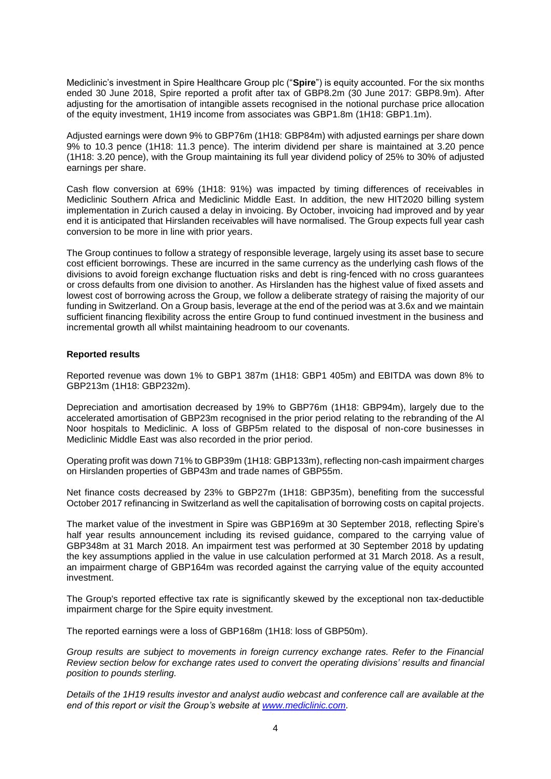Mediclinic's investment in Spire Healthcare Group plc ("**Spire**") is equity accounted. For the six months ended 30 June 2018, Spire reported a profit after tax of GBP8.2m (30 June 2017: GBP8.9m). After adjusting for the amortisation of intangible assets recognised in the notional purchase price allocation of the equity investment, 1H19 income from associates was GBP1.8m (1H18: GBP1.1m).

Adjusted earnings were down 9% to GBP76m (1H18: GBP84m) with adjusted earnings per share down 9% to 10.3 pence (1H18: 11.3 pence). The interim dividend per share is maintained at 3.20 pence (1H18: 3.20 pence), with the Group maintaining its full year dividend policy of 25% to 30% of adjusted earnings per share.

Cash flow conversion at 69% (1H18: 91%) was impacted by timing differences of receivables in Mediclinic Southern Africa and Mediclinic Middle East. In addition, the new HIT2020 billing system implementation in Zurich caused a delay in invoicing. By October, invoicing had improved and by year end it is anticipated that Hirslanden receivables will have normalised. The Group expects full year cash conversion to be more in line with prior years.

The Group continues to follow a strategy of responsible leverage, largely using its asset base to secure cost efficient borrowings. These are incurred in the same currency as the underlying cash flows of the divisions to avoid foreign exchange fluctuation risks and debt is ring-fenced with no cross guarantees or cross defaults from one division to another. As Hirslanden has the highest value of fixed assets and lowest cost of borrowing across the Group, we follow a deliberate strategy of raising the majority of our funding in Switzerland. On a Group basis, leverage at the end of the period was at 3.6x and we maintain sufficient financing flexibility across the entire Group to fund continued investment in the business and incremental growth all whilst maintaining headroom to our covenants.

## **Reported results**

Reported revenue was down 1% to GBP1 387m (1H18: GBP1 405m) and EBITDA was down 8% to GBP213m (1H18: GBP232m).

Depreciation and amortisation decreased by 19% to GBP76m (1H18: GBP94m), largely due to the accelerated amortisation of GBP23m recognised in the prior period relating to the rebranding of the Al Noor hospitals to Mediclinic. A loss of GBP5m related to the disposal of non-core businesses in Mediclinic Middle East was also recorded in the prior period.

Operating profit was down 71% to GBP39m (1H18: GBP133m), reflecting non-cash impairment charges on Hirslanden properties of GBP43m and trade names of GBP55m.

Net finance costs decreased by 23% to GBP27m (1H18: GBP35m), benefiting from the successful October 2017 refinancing in Switzerland as well the capitalisation of borrowing costs on capital projects.

The market value of the investment in Spire was GBP169m at 30 September 2018, reflecting Spire's half year results announcement including its revised guidance, compared to the carrying value of GBP348m at 31 March 2018. An impairment test was performed at 30 September 2018 by updating the key assumptions applied in the value in use calculation performed at 31 March 2018. As a result, an impairment charge of GBP164m was recorded against the carrying value of the equity accounted investment.

The Group's reported effective tax rate is significantly skewed by the exceptional non tax-deductible impairment charge for the Spire equity investment.

The reported earnings were a loss of GBP168m (1H18: loss of GBP50m).

*Group results are subject to movements in foreign currency exchange rates. Refer to the Financial Review section below for exchange rates used to convert the operating divisions' results and financial position to pounds sterling.*

*Details of the 1H19 results investor and analyst audio webcast and conference call are available at the end of this report or visit the Group's website at [www.mediclinic.com.](http://www.mediclinic.com/)*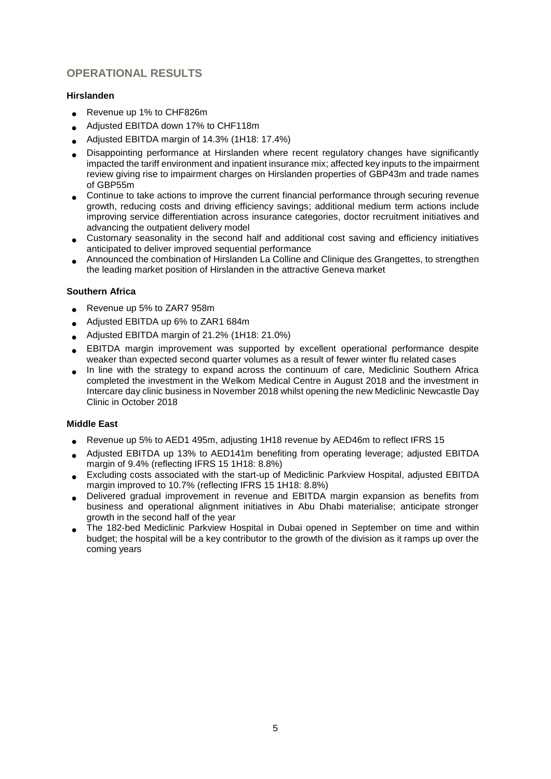# **OPERATIONAL RESULTS**

## **Hirslanden**

- Revenue up 1% to CHF826m
- Adjusted EBITDA down 17% to CHF118m
- Adjusted EBITDA margin of 14.3% (1H18: 17.4%)
- Disappointing performance at Hirslanden where recent regulatory changes have significantly impacted the tariff environment and inpatient insurance mix; affected key inputs to the impairment review giving rise to impairment charges on Hirslanden properties of GBP43m and trade names of GBP55m
- Continue to take actions to improve the current financial performance through securing revenue growth, reducing costs and driving efficiency savings; additional medium term actions include improving service differentiation across insurance categories, doctor recruitment initiatives and advancing the outpatient delivery model
- Customary seasonality in the second half and additional cost saving and efficiency initiatives anticipated to deliver improved sequential performance
- Announced the combination of Hirslanden La Colline and Clinique des Grangettes, to strengthen the leading market position of Hirslanden in the attractive Geneva market

## **Southern Africa**

- Revenue up 5% to ZAR7 958m
- Adjusted EBITDA up 6% to ZAR1 684m
- Adjusted EBITDA margin of 21.2% (1H18: 21.0%)
- EBITDA margin improvement was supported by excellent operational performance despite weaker than expected second quarter volumes as a result of fewer winter flu related cases
- In line with the strategy to expand across the continuum of care, Mediclinic Southern Africa completed the investment in the Welkom Medical Centre in August 2018 and the investment in Intercare day clinic business in November 2018 whilst opening the new Mediclinic Newcastle Day Clinic in October 2018

## **Middle East**

- Revenue up 5% to AED1 495m, adjusting 1H18 revenue by AED46m to reflect IFRS 15
- Adjusted EBITDA up 13% to AED141m benefiting from operating leverage; adjusted EBITDA margin of 9.4% (reflecting IFRS 15 1H18: 8.8%)
- Excluding costs associated with the start-up of Mediclinic Parkview Hospital, adjusted EBITDA margin improved to 10.7% (reflecting IFRS 15 1H18: 8.8%)
- Delivered gradual improvement in revenue and EBITDA margin expansion as benefits from business and operational alignment initiatives in Abu Dhabi materialise; anticipate stronger growth in the second half of the year
- The 182-bed Mediclinic Parkview Hospital in Dubai opened in September on time and within budget; the hospital will be a key contributor to the growth of the division as it ramps up over the coming years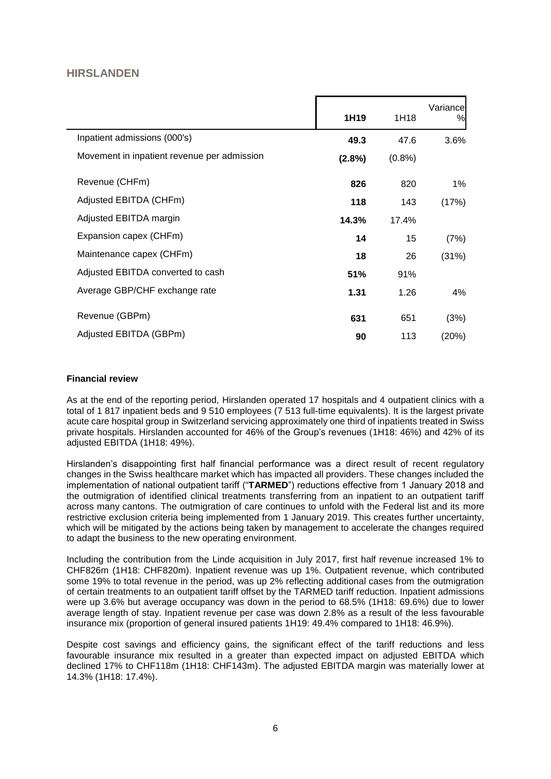# **HIRSLANDEN**

|                                             | 1H19      | 1H18  | Variance<br>% |
|---------------------------------------------|-----------|-------|---------------|
| Inpatient admissions (000's)                | 49.3      | 47.6  | 3.6%          |
| Movement in inpatient revenue per admission | $(2.8\%)$ | (0.8% |               |
| Revenue (CHFm)                              | 826       | 820   | $1\%$         |
| Adjusted EBITDA (CHFm)                      | 118       | 143   | (17%)         |
| Adjusted EBITDA margin                      | 14.3%     | 17.4% |               |
| Expansion capex (CHFm)                      | 14        | 15    | (7%)          |
| Maintenance capex (CHFm)                    | 18        | 26    | (31%)         |
| Adjusted EBITDA converted to cash           | 51%       | 91%   |               |
| Average GBP/CHF exchange rate               | 1.31      | 1.26  | 4%            |
| Revenue (GBPm)                              | 631       | 651   | (3%)          |
| Adjusted EBITDA (GBPm)                      | 90        | 113   | (20%)         |

## **Financial review**

As at the end of the reporting period, Hirslanden operated 17 hospitals and 4 outpatient clinics with a total of 1 817 inpatient beds and 9 510 employees (7 513 full-time equivalents). It is the largest private acute care hospital group in Switzerland servicing approximately one third of inpatients treated in Swiss private hospitals. Hirslanden accounted for 46% of the Group's revenues (1H18: 46%) and 42% of its adjusted EBITDA (1H18: 49%).

Hirslanden's disappointing first half financial performance was a direct result of recent regulatory changes in the Swiss healthcare market which has impacted all providers. These changes included the implementation of national outpatient tariff ("**TARMED**") reductions effective from 1 January 2018 and the outmigration of identified clinical treatments transferring from an inpatient to an outpatient tariff across many cantons. The outmigration of care continues to unfold with the Federal list and its more restrictive exclusion criteria being implemented from 1 January 2019. This creates further uncertainty, which will be mitigated by the actions being taken by management to accelerate the changes required to adapt the business to the new operating environment.

Including the contribution from the Linde acquisition in July 2017, first half revenue increased 1% to CHF826m (1H18: CHF820m). Inpatient revenue was up 1%. Outpatient revenue, which contributed some 19% to total revenue in the period, was up 2% reflecting additional cases from the outmigration of certain treatments to an outpatient tariff offset by the TARMED tariff reduction. Inpatient admissions were up 3.6% but average occupancy was down in the period to 68.5% (1H18: 69.6%) due to lower average length of stay. Inpatient revenue per case was down 2.8% as a result of the less favourable insurance mix (proportion of general insured patients 1H19: 49.4% compared to 1H18: 46.9%).

Despite cost savings and efficiency gains, the significant effect of the tariff reductions and less favourable insurance mix resulted in a greater than expected impact on adjusted EBITDA which declined 17% to CHF118m (1H18: CHF143m). The adjusted EBITDA margin was materially lower at 14.3% (1H18: 17.4%).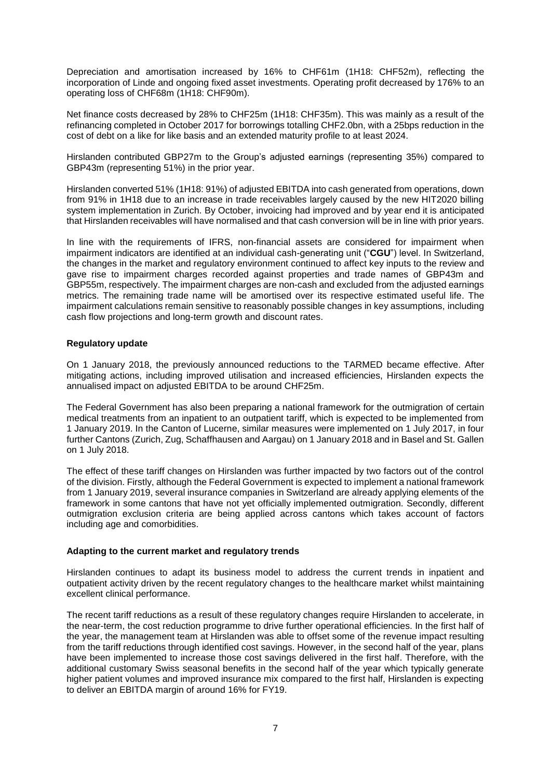Depreciation and amortisation increased by 16% to CHF61m (1H18: CHF52m), reflecting the incorporation of Linde and ongoing fixed asset investments. Operating profit decreased by 176% to an operating loss of CHF68m (1H18: CHF90m).

Net finance costs decreased by 28% to CHF25m (1H18: CHF35m). This was mainly as a result of the refinancing completed in October 2017 for borrowings totalling CHF2.0bn, with a 25bps reduction in the cost of debt on a like for like basis and an extended maturity profile to at least 2024.

Hirslanden contributed GBP27m to the Group's adjusted earnings (representing 35%) compared to GBP43m (representing 51%) in the prior year.

Hirslanden converted 51% (1H18: 91%) of adjusted EBITDA into cash generated from operations, down from 91% in 1H18 due to an increase in trade receivables largely caused by the new HIT2020 billing system implementation in Zurich. By October, invoicing had improved and by year end it is anticipated that Hirslanden receivables will have normalised and that cash conversion will be in line with prior years.

In line with the requirements of IFRS, non-financial assets are considered for impairment when impairment indicators are identified at an individual cash-generating unit ("**CGU**") level. In Switzerland, the changes in the market and regulatory environment continued to affect key inputs to the review and gave rise to impairment charges recorded against properties and trade names of GBP43m and GBP55m, respectively. The impairment charges are non-cash and excluded from the adjusted earnings metrics. The remaining trade name will be amortised over its respective estimated useful life. The impairment calculations remain sensitive to reasonably possible changes in key assumptions, including cash flow projections and long-term growth and discount rates.

## **Regulatory update**

On 1 January 2018, the previously announced reductions to the TARMED became effective. After mitigating actions, including improved utilisation and increased efficiencies, Hirslanden expects the annualised impact on adjusted EBITDA to be around CHF25m.

The Federal Government has also been preparing a national framework for the outmigration of certain medical treatments from an inpatient to an outpatient tariff, which is expected to be implemented from 1 January 2019. In the Canton of Lucerne, similar measures were implemented on 1 July 2017, in four further Cantons (Zurich, Zug, Schaffhausen and Aargau) on 1 January 2018 and in Basel and St. Gallen on 1 July 2018.

The effect of these tariff changes on Hirslanden was further impacted by two factors out of the control of the division. Firstly, although the Federal Government is expected to implement a national framework from 1 January 2019, several insurance companies in Switzerland are already applying elements of the framework in some cantons that have not yet officially implemented outmigration. Secondly, different outmigration exclusion criteria are being applied across cantons which takes account of factors including age and comorbidities.

## **Adapting to the current market and regulatory trends**

Hirslanden continues to adapt its business model to address the current trends in inpatient and outpatient activity driven by the recent regulatory changes to the healthcare market whilst maintaining excellent clinical performance.

The recent tariff reductions as a result of these regulatory changes require Hirslanden to accelerate, in the near-term, the cost reduction programme to drive further operational efficiencies. In the first half of the year, the management team at Hirslanden was able to offset some of the revenue impact resulting from the tariff reductions through identified cost savings. However, in the second half of the year, plans have been implemented to increase those cost savings delivered in the first half. Therefore, with the additional customary Swiss seasonal benefits in the second half of the year which typically generate higher patient volumes and improved insurance mix compared to the first half, Hirslanden is expecting to deliver an EBITDA margin of around 16% for FY19.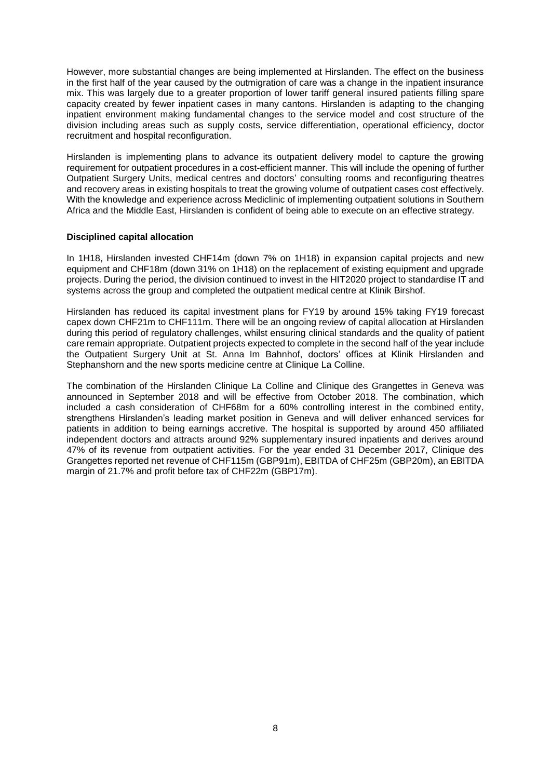However, more substantial changes are being implemented at Hirslanden. The effect on the business in the first half of the year caused by the outmigration of care was a change in the inpatient insurance mix. This was largely due to a greater proportion of lower tariff general insured patients filling spare capacity created by fewer inpatient cases in many cantons. Hirslanden is adapting to the changing inpatient environment making fundamental changes to the service model and cost structure of the division including areas such as supply costs, service differentiation, operational efficiency, doctor recruitment and hospital reconfiguration.

Hirslanden is implementing plans to advance its outpatient delivery model to capture the growing requirement for outpatient procedures in a cost-efficient manner. This will include the opening of further Outpatient Surgery Units, medical centres and doctors' consulting rooms and reconfiguring theatres and recovery areas in existing hospitals to treat the growing volume of outpatient cases cost effectively. With the knowledge and experience across Mediclinic of implementing outpatient solutions in Southern Africa and the Middle East, Hirslanden is confident of being able to execute on an effective strategy.

## **Disciplined capital allocation**

In 1H18, Hirslanden invested CHF14m (down 7% on 1H18) in expansion capital projects and new equipment and CHF18m (down 31% on 1H18) on the replacement of existing equipment and upgrade projects. During the period, the division continued to invest in the HIT2020 project to standardise IT and systems across the group and completed the outpatient medical centre at Klinik Birshof.

Hirslanden has reduced its capital investment plans for FY19 by around 15% taking FY19 forecast capex down CHF21m to CHF111m. There will be an ongoing review of capital allocation at Hirslanden during this period of regulatory challenges, whilst ensuring clinical standards and the quality of patient care remain appropriate. Outpatient projects expected to complete in the second half of the year include the Outpatient Surgery Unit at St. Anna Im Bahnhof, doctors' offices at Klinik Hirslanden and Stephanshorn and the new sports medicine centre at Clinique La Colline.

The combination of the Hirslanden Clinique La Colline and Clinique des Grangettes in Geneva was announced in September 2018 and will be effective from October 2018. The combination, which included a cash consideration of CHF68m for a 60% controlling interest in the combined entity, strengthens Hirslanden's leading market position in Geneva and will deliver enhanced services for patients in addition to being earnings accretive. The hospital is supported by around 450 affiliated independent doctors and attracts around 92% supplementary insured inpatients and derives around 47% of its revenue from outpatient activities. For the year ended 31 December 2017, Clinique des Grangettes reported net revenue of CHF115m (GBP91m), EBITDA of CHF25m (GBP20m), an EBITDA margin of 21.7% and profit before tax of CHF22m (GBP17m).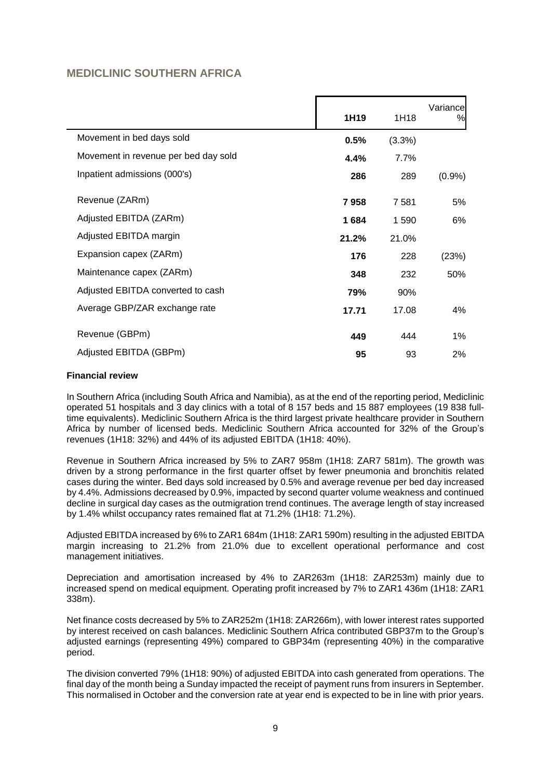# **MEDICLINIC SOUTHERN AFRICA**

|                                      | 1H19  | 1H18    | Variance<br>% |
|--------------------------------------|-------|---------|---------------|
| Movement in bed days sold            | 0.5%  | (3.3%)  |               |
| Movement in revenue per bed day sold | 4.4%  | 7.7%    |               |
| Inpatient admissions (000's)         | 286   | 289     | $(0.9\%)$     |
| Revenue (ZARm)                       | 7958  | 7581    | 5%            |
| Adjusted EBITDA (ZARm)               | 1684  | 1 5 9 0 | 6%            |
| Adjusted EBITDA margin               | 21.2% | 21.0%   |               |
| Expansion capex (ZARm)               | 176   | 228     | (23%)         |
| Maintenance capex (ZARm)             | 348   | 232     | 50%           |
| Adjusted EBITDA converted to cash    | 79%   | 90%     |               |
| Average GBP/ZAR exchange rate        | 17.71 | 17.08   | 4%            |
| Revenue (GBPm)                       | 449   | 444     | $1\%$         |
| Adjusted EBITDA (GBPm)               | 95    | 93      | 2%            |

## **Financial review**

In Southern Africa (including South Africa and Namibia), as at the end of the reporting period, Mediclinic operated 51 hospitals and 3 day clinics with a total of 8 157 beds and 15 887 employees (19 838 fulltime equivalents). Mediclinic Southern Africa is the third largest private healthcare provider in Southern Africa by number of licensed beds. Mediclinic Southern Africa accounted for 32% of the Group's revenues (1H18: 32%) and 44% of its adjusted EBITDA (1H18: 40%).

Revenue in Southern Africa increased by 5% to ZAR7 958m (1H18: ZAR7 581m). The growth was driven by a strong performance in the first quarter offset by fewer pneumonia and bronchitis related cases during the winter. Bed days sold increased by 0.5% and average revenue per bed day increased by 4.4%. Admissions decreased by 0.9%, impacted by second quarter volume weakness and continued decline in surgical day cases as the outmigration trend continues. The average length of stay increased by 1.4% whilst occupancy rates remained flat at 71.2% (1H18: 71.2%).

Adjusted EBITDA increased by 6% to ZAR1 684m (1H18: ZAR1 590m) resulting in the adjusted EBITDA margin increasing to 21.2% from 21.0% due to excellent operational performance and cost management initiatives.

Depreciation and amortisation increased by 4% to ZAR263m (1H18: ZAR253m) mainly due to increased spend on medical equipment. Operating profit increased by 7% to ZAR1 436m (1H18: ZAR1 338m).

Net finance costs decreased by 5% to ZAR252m (1H18: ZAR266m), with lower interest rates supported by interest received on cash balances. Mediclinic Southern Africa contributed GBP37m to the Group's adjusted earnings (representing 49%) compared to GBP34m (representing 40%) in the comparative period.

The division converted 79% (1H18: 90%) of adjusted EBITDA into cash generated from operations. The final day of the month being a Sunday impacted the receipt of payment runs from insurers in September. This normalised in October and the conversion rate at year end is expected to be in line with prior years.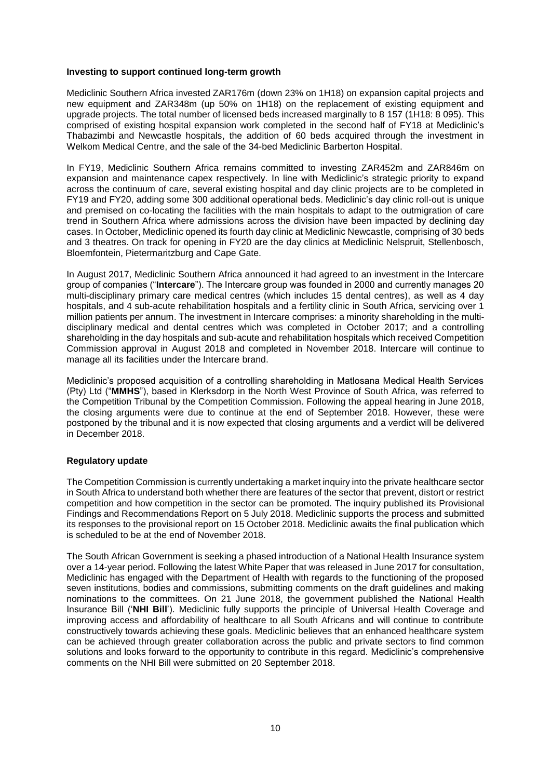## **Investing to support continued long-term growth**

Mediclinic Southern Africa invested ZAR176m (down 23% on 1H18) on expansion capital projects and new equipment and ZAR348m (up 50% on 1H18) on the replacement of existing equipment and upgrade projects. The total number of licensed beds increased marginally to 8 157 (1H18: 8 095). This comprised of existing hospital expansion work completed in the second half of FY18 at Mediclinic's Thabazimbi and Newcastle hospitals, the addition of 60 beds acquired through the investment in Welkom Medical Centre, and the sale of the 34-bed Mediclinic Barberton Hospital.

In FY19, Mediclinic Southern Africa remains committed to investing ZAR452m and ZAR846m on expansion and maintenance capex respectively. In line with Mediclinic's strategic priority to expand across the continuum of care, several existing hospital and day clinic projects are to be completed in FY19 and FY20, adding some 300 additional operational beds. Mediclinic's day clinic roll-out is unique and premised on co-locating the facilities with the main hospitals to adapt to the outmigration of care trend in Southern Africa where admissions across the division have been impacted by declining day cases. In October, Mediclinic opened its fourth day clinic at Mediclinic Newcastle, comprising of 30 beds and 3 theatres. On track for opening in FY20 are the day clinics at Mediclinic Nelspruit, Stellenbosch, Bloemfontein, Pietermaritzburg and Cape Gate.

In August 2017, Mediclinic Southern Africa announced it had agreed to an investment in the Intercare group of companies ("**Intercare**"). The Intercare group was founded in 2000 and currently manages 20 multi-disciplinary primary care medical centres (which includes 15 dental centres), as well as 4 day hospitals, and 4 sub-acute rehabilitation hospitals and a fertility clinic in South Africa, servicing over 1 million patients per annum. The investment in Intercare comprises: a minority shareholding in the multidisciplinary medical and dental centres which was completed in October 2017; and a controlling shareholding in the day hospitals and sub-acute and rehabilitation hospitals which received Competition Commission approval in August 2018 and completed in November 2018. Intercare will continue to manage all its facilities under the Intercare brand.

Mediclinic's proposed acquisition of a controlling shareholding in Matlosana Medical Health Services (Pty) Ltd ("**MMHS**"), based in Klerksdorp in the North West Province of South Africa, was referred to the Competition Tribunal by the Competition Commission. Following the appeal hearing in June 2018, the closing arguments were due to continue at the end of September 2018. However, these were postponed by the tribunal and it is now expected that closing arguments and a verdict will be delivered in December 2018.

## **Regulatory update**

The Competition Commission is currently undertaking a market inquiry into the private healthcare sector in South Africa to understand both whether there are features of the sector that prevent, distort or restrict competition and how competition in the sector can be promoted. The inquiry published its Provisional Findings and Recommendations Report on 5 July 2018. Mediclinic supports the process and submitted its responses to the provisional report on 15 October 2018. Mediclinic awaits the final publication which is scheduled to be at the end of November 2018.

The South African Government is seeking a phased introduction of a National Health Insurance system over a 14-year period. Following the latest White Paper that was released in June 2017 for consultation, Mediclinic has engaged with the Department of Health with regards to the functioning of the proposed seven institutions, bodies and commissions, submitting comments on the draft guidelines and making nominations to the committees. On 21 June 2018, the government published the National Health Insurance Bill ('**NHI Bill**'). Mediclinic fully supports the principle of Universal Health Coverage and improving access and affordability of healthcare to all South Africans and will continue to contribute constructively towards achieving these goals. Mediclinic believes that an enhanced healthcare system can be achieved through greater collaboration across the public and private sectors to find common solutions and looks forward to the opportunity to contribute in this regard. Mediclinic's comprehensive comments on the NHI Bill were submitted on 20 September 2018.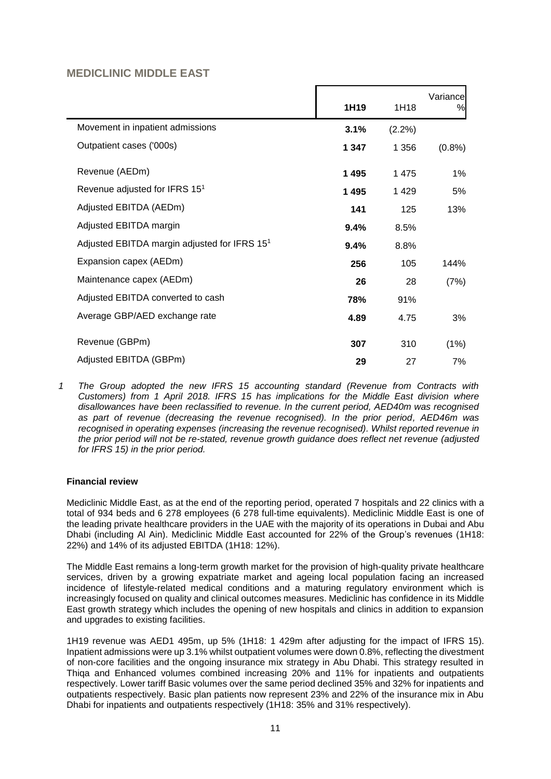# **MEDICLINIC MIDDLE EAST**

|                                                          | 1H19    | 1H18      | Variance<br>% |
|----------------------------------------------------------|---------|-----------|---------------|
| Movement in inpatient admissions                         | 3.1%    | $(2.2\%)$ |               |
| Outpatient cases ('000s)                                 | 1 3 4 7 | 1 3 5 6   | (0.8%         |
| Revenue (AEDm)                                           | 1495    | 1 4 7 5   | $1\%$         |
| Revenue adjusted for IFRS 15 <sup>1</sup>                | 1495    | 1 4 2 9   | 5%            |
| Adjusted EBITDA (AEDm)                                   | 141     | 125       | 13%           |
| Adjusted EBITDA margin                                   | 9.4%    | 8.5%      |               |
| Adjusted EBITDA margin adjusted for IFRS 15 <sup>1</sup> | 9.4%    | 8.8%      |               |
| Expansion capex (AEDm)                                   | 256     | 105       | 144%          |
| Maintenance capex (AEDm)                                 | 26      | 28        | (7%)          |
| Adjusted EBITDA converted to cash                        | 78%     | 91%       |               |
| Average GBP/AED exchange rate                            | 4.89    | 4.75      | 3%            |
| Revenue (GBPm)                                           | 307     | 310       | (1%)          |
| Adjusted EBITDA (GBPm)                                   | 29      | 27        | 7%            |

*<sup>1</sup> The Group adopted the new IFRS 15 accounting standard (Revenue from Contracts with Customers) from 1 April 2018. IFRS 15 has implications for the Middle East division where disallowances have been reclassified to revenue. In the current period, AED40m was recognised as part of revenue (decreasing the revenue recognised). In the prior period, AED46m was recognised in operating expenses (increasing the revenue recognised). Whilst reported revenue in the prior period will not be re-stated, revenue growth guidance does reflect net revenue (adjusted for IFRS 15) in the prior period.*

## **Financial review**

Mediclinic Middle East, as at the end of the reporting period, operated 7 hospitals and 22 clinics with a total of 934 beds and 6 278 employees (6 278 full-time equivalents). Mediclinic Middle East is one of the leading private healthcare providers in the UAE with the majority of its operations in Dubai and Abu Dhabi (including Al Ain). Mediclinic Middle East accounted for 22% of the Group's revenues (1H18: 22%) and 14% of its adjusted EBITDA (1H18: 12%).

The Middle East remains a long-term growth market for the provision of high-quality private healthcare services, driven by a growing expatriate market and ageing local population facing an increased incidence of lifestyle-related medical conditions and a maturing regulatory environment which is increasingly focused on quality and clinical outcomes measures. Mediclinic has confidence in its Middle East growth strategy which includes the opening of new hospitals and clinics in addition to expansion and upgrades to existing facilities.

1H19 revenue was AED1 495m, up 5% (1H18: 1 429m after adjusting for the impact of IFRS 15). Inpatient admissions were up 3.1% whilst outpatient volumes were down 0.8%, reflecting the divestment of non-core facilities and the ongoing insurance mix strategy in Abu Dhabi. This strategy resulted in Thiqa and Enhanced volumes combined increasing 20% and 11% for inpatients and outpatients respectively. Lower tariff Basic volumes over the same period declined 35% and 32% for inpatients and outpatients respectively. Basic plan patients now represent 23% and 22% of the insurance mix in Abu Dhabi for inpatients and outpatients respectively (1H18: 35% and 31% respectively).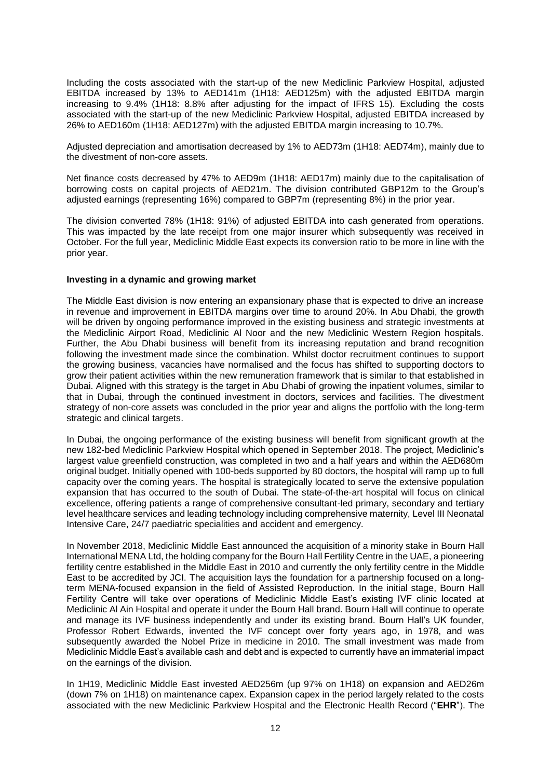Including the costs associated with the start-up of the new Mediclinic Parkview Hospital, adjusted EBITDA increased by 13% to AED141m (1H18: AED125m) with the adjusted EBITDA margin increasing to 9.4% (1H18: 8.8% after adjusting for the impact of IFRS 15). Excluding the costs associated with the start-up of the new Mediclinic Parkview Hospital, adjusted EBITDA increased by 26% to AED160m (1H18: AED127m) with the adjusted EBITDA margin increasing to 10.7%.

Adjusted depreciation and amortisation decreased by 1% to AED73m (1H18: AED74m), mainly due to the divestment of non-core assets.

Net finance costs decreased by 47% to AED9m (1H18: AED17m) mainly due to the capitalisation of borrowing costs on capital projects of AED21m. The division contributed GBP12m to the Group's adjusted earnings (representing 16%) compared to GBP7m (representing 8%) in the prior year.

The division converted 78% (1H18: 91%) of adjusted EBITDA into cash generated from operations. This was impacted by the late receipt from one major insurer which subsequently was received in October. For the full year, Mediclinic Middle East expects its conversion ratio to be more in line with the prior year.

## **Investing in a dynamic and growing market**

The Middle East division is now entering an expansionary phase that is expected to drive an increase in revenue and improvement in EBITDA margins over time to around 20%. In Abu Dhabi, the growth will be driven by ongoing performance improved in the existing business and strategic investments at the Mediclinic Airport Road, Mediclinic Al Noor and the new Mediclinic Western Region hospitals. Further, the Abu Dhabi business will benefit from its increasing reputation and brand recognition following the investment made since the combination. Whilst doctor recruitment continues to support the growing business, vacancies have normalised and the focus has shifted to supporting doctors to grow their patient activities within the new remuneration framework that is similar to that established in Dubai. Aligned with this strategy is the target in Abu Dhabi of growing the inpatient volumes, similar to that in Dubai, through the continued investment in doctors, services and facilities. The divestment strategy of non-core assets was concluded in the prior year and aligns the portfolio with the long-term strategic and clinical targets.

In Dubai, the ongoing performance of the existing business will benefit from significant growth at the new 182-bed Mediclinic Parkview Hospital which opened in September 2018. The project, Mediclinic's largest value greenfield construction, was completed in two and a half years and within the AED680m original budget. Initially opened with 100-beds supported by 80 doctors, the hospital will ramp up to full capacity over the coming years. The hospital is strategically located to serve the extensive population expansion that has occurred to the south of Dubai. The state-of-the-art hospital will focus on clinical excellence, offering patients a range of comprehensive consultant-led primary, secondary and tertiary level healthcare services and leading technology including comprehensive maternity, Level III Neonatal Intensive Care, 24/7 paediatric specialities and accident and emergency.

In November 2018, Mediclinic Middle East announced the acquisition of a minority stake in Bourn Hall International MENA Ltd, the holding company for the Bourn Hall Fertility Centre in the UAE, a pioneering fertility centre established in the Middle East in 2010 and currently the only fertility centre in the Middle East to be accredited by JCI. The acquisition lays the foundation for a partnership focused on a longterm MENA-focused expansion in the field of Assisted Reproduction. In the initial stage, Bourn Hall Fertility Centre will take over operations of Mediclinic Middle East's existing IVF clinic located at Mediclinic Al Ain Hospital and operate it under the Bourn Hall brand. Bourn Hall will continue to operate and manage its IVF business independently and under its existing brand. Bourn Hall's UK founder, Professor Robert Edwards, invented the IVF concept over forty years ago, in 1978, and was subsequently awarded the Nobel Prize in medicine in 2010. The small investment was made from Mediclinic Middle East's available cash and debt and is expected to currently have an immaterial impact on the earnings of the division.

In 1H19, Mediclinic Middle East invested AED256m (up 97% on 1H18) on expansion and AED26m (down 7% on 1H18) on maintenance capex. Expansion capex in the period largely related to the costs associated with the new Mediclinic Parkview Hospital and the Electronic Health Record ("**EHR**"). The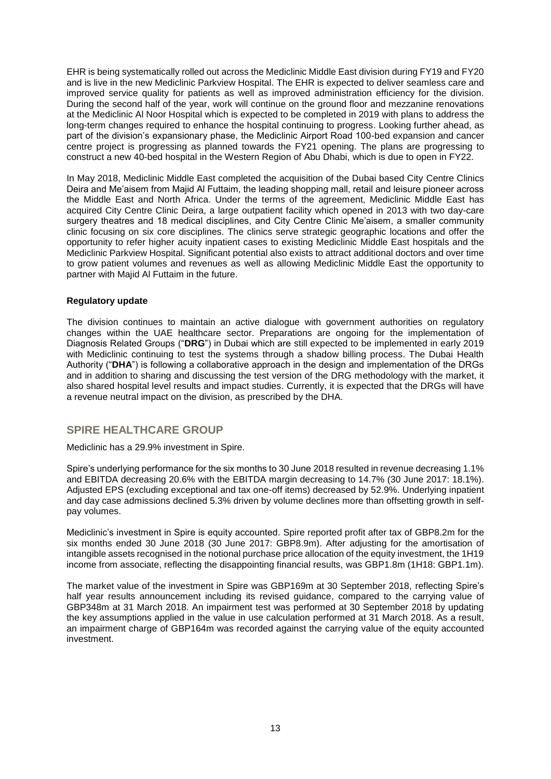EHR is being systematically rolled out across the Mediclinic Middle East division during FY19 and FY20 and is live in the new Mediclinic Parkview Hospital. The EHR is expected to deliver seamless care and improved service quality for patients as well as improved administration efficiency for the division. During the second half of the year, work will continue on the ground floor and mezzanine renovations at the Mediclinic Al Noor Hospital which is expected to be completed in 2019 with plans to address the long-term changes required to enhance the hospital continuing to progress. Looking further ahead, as part of the division's expansionary phase, the Mediclinic Airport Road 100-bed expansion and cancer centre project is progressing as planned towards the FY21 opening. The plans are progressing to construct a new 40-bed hospital in the Western Region of Abu Dhabi, which is due to open in FY22.

In May 2018, Mediclinic Middle East completed the acquisition of the Dubai based City Centre Clinics Deira and Me'aisem from Majid Al Futtaim, the leading shopping mall, retail and leisure pioneer across the Middle East and North Africa. Under the terms of the agreement, Mediclinic Middle East has acquired City Centre Clinic Deira, a large outpatient facility which opened in 2013 with two day-care surgery theatres and 18 medical disciplines, and City Centre Clinic Me'aisem, a smaller community clinic focusing on six core disciplines. The clinics serve strategic geographic locations and offer the opportunity to refer higher acuity inpatient cases to existing Mediclinic Middle East hospitals and the Mediclinic Parkview Hospital. Significant potential also exists to attract additional doctors and over time to grow patient volumes and revenues as well as allowing Mediclinic Middle East the opportunity to partner with Majid Al Futtaim in the future.

## **Regulatory update**

The division continues to maintain an active dialogue with government authorities on regulatory changes within the UAE healthcare sector. Preparations are ongoing for the implementation of Diagnosis Related Groups ("**DRG**") in Dubai which are still expected to be implemented in early 2019 with Mediclinic continuing to test the systems through a shadow billing process. The Dubai Health Authority ("**DHA**") is following a collaborative approach in the design and implementation of the DRGs and in addition to sharing and discussing the test version of the DRG methodology with the market, it also shared hospital level results and impact studies. Currently, it is expected that the DRGs will have a revenue neutral impact on the division, as prescribed by the DHA.

# **SPIRE HEALTHCARE GROUP**

Mediclinic has a 29.9% investment in Spire.

Spire's underlying performance for the six months to 30 June 2018 resulted in revenue decreasing 1.1% and EBITDA decreasing 20.6% with the EBITDA margin decreasing to 14.7% (30 June 2017: 18.1%). Adjusted EPS (excluding exceptional and tax one-off items) decreased by 52.9%. Underlying inpatient and day case admissions declined 5.3% driven by volume declines more than offsetting growth in selfpay volumes.

Mediclinic's investment in Spire is equity accounted. Spire reported profit after tax of GBP8.2m for the six months ended 30 June 2018 (30 June 2017: GBP8.9m). After adjusting for the amortisation of intangible assets recognised in the notional purchase price allocation of the equity investment, the 1H19 income from associate, reflecting the disappointing financial results, was GBP1.8m (1H18: GBP1.1m).

The market value of the investment in Spire was GBP169m at 30 September 2018, reflecting Spire's half year results announcement including its revised guidance, compared to the carrying value of GBP348m at 31 March 2018. An impairment test was performed at 30 September 2018 by updating the key assumptions applied in the value in use calculation performed at 31 March 2018. As a result, an impairment charge of GBP164m was recorded against the carrying value of the equity accounted investment.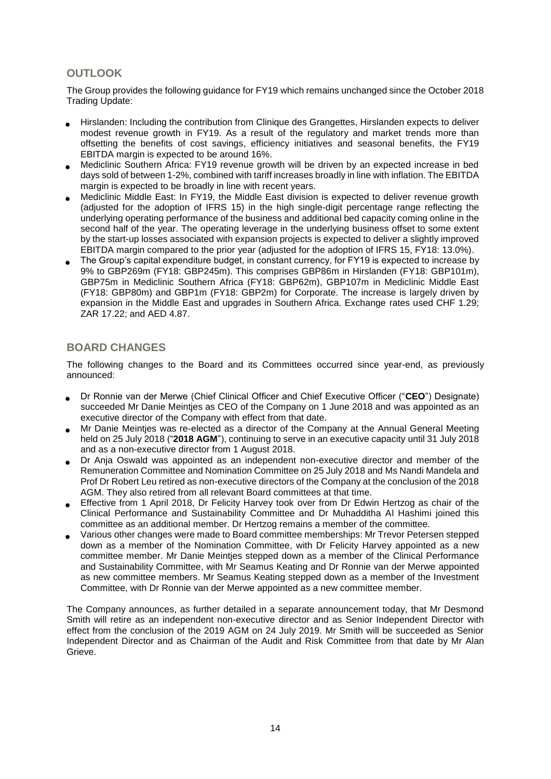# **OUTLOOK**

The Group provides the following guidance for FY19 which remains unchanged since the October 2018 Trading Update:

- Hirslanden: Including the contribution from Clinique des Grangettes, Hirslanden expects to deliver modest revenue growth in FY19. As a result of the regulatory and market trends more than offsetting the benefits of cost savings, efficiency initiatives and seasonal benefits, the FY19 EBITDA margin is expected to be around 16%.
- Mediclinic Southern Africa: FY19 revenue growth will be driven by an expected increase in bed days sold of between 1-2%, combined with tariff increases broadly in line with inflation. The EBITDA margin is expected to be broadly in line with recent years.
- Mediclinic Middle East: In FY19, the Middle East division is expected to deliver revenue growth (adjusted for the adoption of IFRS 15) in the high single-digit percentage range reflecting the underlying operating performance of the business and additional bed capacity coming online in the second half of the year. The operating leverage in the underlying business offset to some extent by the start-up losses associated with expansion projects is expected to deliver a slightly improved EBITDA margin compared to the prior year (adjusted for the adoption of IFRS 15, FY18: 13.0%).
- The Group's capital expenditure budget, in constant currency, for FY19 is expected to increase by 9% to GBP269m (FY18: GBP245m). This comprises GBP86m in Hirslanden (FY18: GBP101m), GBP75m in Mediclinic Southern Africa (FY18: GBP62m), GBP107m in Mediclinic Middle East (FY18: GBP80m) and GBP1m (FY18: GBP2m) for Corporate. The increase is largely driven by expansion in the Middle East and upgrades in Southern Africa. Exchange rates used CHF 1.29; ZAR 17.22; and AED 4.87.

# **BOARD CHANGES**

The following changes to the Board and its Committees occurred since year-end, as previously announced:

- Dr Ronnie van der Merwe (Chief Clinical Officer and Chief Executive Officer ("**CEO**") Designate) succeeded Mr Danie Meintjes as CEO of the Company on 1 June 2018 and was appointed as an executive director of the Company with effect from that date.
- Mr Danie Meintjes was re-elected as a director of the Company at the Annual General Meeting held on 25 July 2018 ("**2018 AGM**"), continuing to serve in an executive capacity until 31 July 2018 and as a non-executive director from 1 August 2018.
- Dr Anja Oswald was appointed as an independent non-executive director and member of the Remuneration Committee and Nomination Committee on 25 July 2018 and Ms Nandi Mandela and Prof Dr Robert Leu retired as non-executive directors of the Company at the conclusion of the 2018 AGM. They also retired from all relevant Board committees at that time.
- Effective from 1 April 2018, Dr Felicity Harvey took over from Dr Edwin Hertzog as chair of the Clinical Performance and Sustainability Committee and Dr Muhadditha Al Hashimi joined this committee as an additional member. Dr Hertzog remains a member of the committee.
- Various other changes were made to Board committee memberships: Mr Trevor Petersen stepped down as a member of the Nomination Committee, with Dr Felicity Harvey appointed as a new committee member. Mr Danie Meintjes stepped down as a member of the Clinical Performance and Sustainability Committee, with Mr Seamus Keating and Dr Ronnie van der Merwe appointed as new committee members. Mr Seamus Keating stepped down as a member of the Investment Committee, with Dr Ronnie van der Merwe appointed as a new committee member.

The Company announces, as further detailed in a separate announcement today, that Mr Desmond Smith will retire as an independent non-executive director and as Senior Independent Director with effect from the conclusion of the 2019 AGM on 24 July 2019. Mr Smith will be succeeded as Senior Independent Director and as Chairman of the Audit and Risk Committee from that date by Mr Alan Grieve.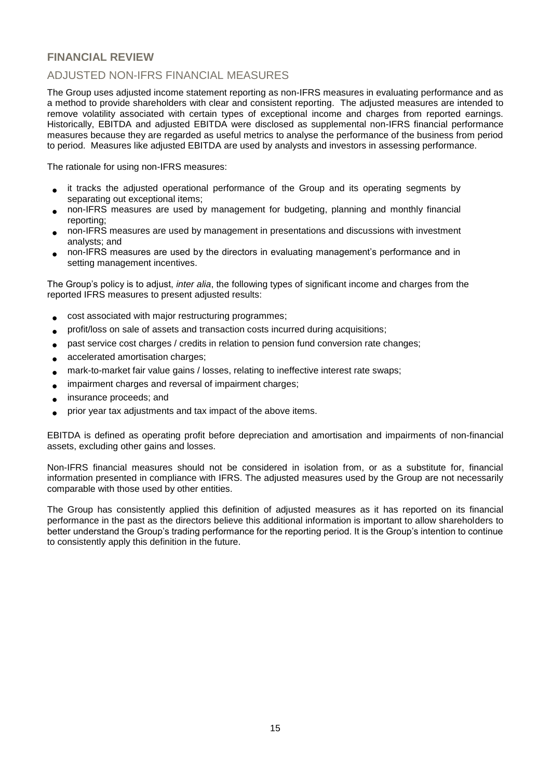# **FINANCIAL REVIEW**

# ADJUSTED NON-IFRS FINANCIAL MEASURES

The Group uses adjusted income statement reporting as non-IFRS measures in evaluating performance and as a method to provide shareholders with clear and consistent reporting. The adjusted measures are intended to remove volatility associated with certain types of exceptional income and charges from reported earnings. Historically, EBITDA and adjusted EBITDA were disclosed as supplemental non-IFRS financial performance measures because they are regarded as useful metrics to analyse the performance of the business from period to period. Measures like adjusted EBITDA are used by analysts and investors in assessing performance.

The rationale for using non-IFRS measures:

- it tracks the adjusted operational performance of the Group and its operating segments by separating out exceptional items;
- non-IFRS measures are used by management for budgeting, planning and monthly financial reporting;
- non-IFRS measures are used by management in presentations and discussions with investment analysts; and
- non-IFRS measures are used by the directors in evaluating management's performance and in setting management incentives.

The Group's policy is to adjust, *inter alia*, the following types of significant income and charges from the reported IFRS measures to present adjusted results:

- cost associated with major restructuring programmes;
- profit/loss on sale of assets and transaction costs incurred during acquisitions;
- past service cost charges / credits in relation to pension fund conversion rate changes;
- accelerated amortisation charges;
- mark-to-market fair value gains / losses, relating to ineffective interest rate swaps;
- impairment charges and reversal of impairment charges;
- insurance proceeds; and
- prior year tax adjustments and tax impact of the above items.

EBITDA is defined as operating profit before depreciation and amortisation and impairments of non-financial assets, excluding other gains and losses.

Non-IFRS financial measures should not be considered in isolation from, or as a substitute for, financial information presented in compliance with IFRS. The adjusted measures used by the Group are not necessarily comparable with those used by other entities.

The Group has consistently applied this definition of adjusted measures as it has reported on its financial performance in the past as the directors believe this additional information is important to allow shareholders to better understand the Group's trading performance for the reporting period. It is the Group's intention to continue to consistently apply this definition in the future.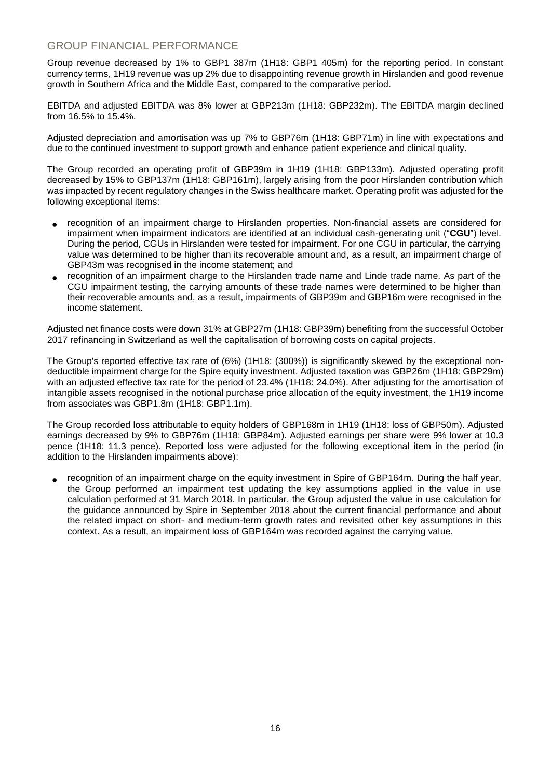## GROUP FINANCIAL PERFORMANCE

Group revenue decreased by 1% to GBP1 387m (1H18: GBP1 405m) for the reporting period. In constant currency terms, 1H19 revenue was up 2% due to disappointing revenue growth in Hirslanden and good revenue growth in Southern Africa and the Middle East, compared to the comparative period.

EBITDA and adjusted EBITDA was 8% lower at GBP213m (1H18: GBP232m). The EBITDA margin declined from 16.5% to 15.4%.

Adjusted depreciation and amortisation was up 7% to GBP76m (1H18: GBP71m) in line with expectations and due to the continued investment to support growth and enhance patient experience and clinical quality.

The Group recorded an operating profit of GBP39m in 1H19 (1H18: GBP133m). Adjusted operating profit decreased by 15% to GBP137m (1H18: GBP161m), largely arising from the poor Hirslanden contribution which was impacted by recent regulatory changes in the Swiss healthcare market. Operating profit was adjusted for the following exceptional items:

- recognition of an impairment charge to Hirslanden properties. Non-financial assets are considered for impairment when impairment indicators are identified at an individual cash-generating unit ("**CGU**") level. During the period, CGUs in Hirslanden were tested for impairment. For one CGU in particular, the carrying value was determined to be higher than its recoverable amount and, as a result, an impairment charge of GBP43m was recognised in the income statement; and
- recognition of an impairment charge to the Hirslanden trade name and Linde trade name. As part of the CGU impairment testing, the carrying amounts of these trade names were determined to be higher than their recoverable amounts and, as a result, impairments of GBP39m and GBP16m were recognised in the income statement.

Adjusted net finance costs were down 31% at GBP27m (1H18: GBP39m) benefiting from the successful October 2017 refinancing in Switzerland as well the capitalisation of borrowing costs on capital projects.

The Group's reported effective tax rate of (6%) (1H18: (300%)) is significantly skewed by the exceptional nondeductible impairment charge for the Spire equity investment. Adjusted taxation was GBP26m (1H18: GBP29m) with an adjusted effective tax rate for the period of 23.4% (1H18: 24.0%). After adjusting for the amortisation of intangible assets recognised in the notional purchase price allocation of the equity investment, the 1H19 income from associates was GBP1.8m (1H18: GBP1.1m).

The Group recorded loss attributable to equity holders of GBP168m in 1H19 (1H18: loss of GBP50m). Adjusted earnings decreased by 9% to GBP76m (1H18: GBP84m). Adjusted earnings per share were 9% lower at 10.3 pence (1H18: 11.3 pence). Reported loss were adjusted for the following exceptional item in the period (in addition to the Hirslanden impairments above):

• recognition of an impairment charge on the equity investment in Spire of GBP164m. During the half year, the Group performed an impairment test updating the key assumptions applied in the value in use calculation performed at 31 March 2018. In particular, the Group adjusted the value in use calculation for the guidance announced by Spire in September 2018 about the current financial performance and about the related impact on short- and medium-term growth rates and revisited other key assumptions in this context. As a result, an impairment loss of GBP164m was recorded against the carrying value.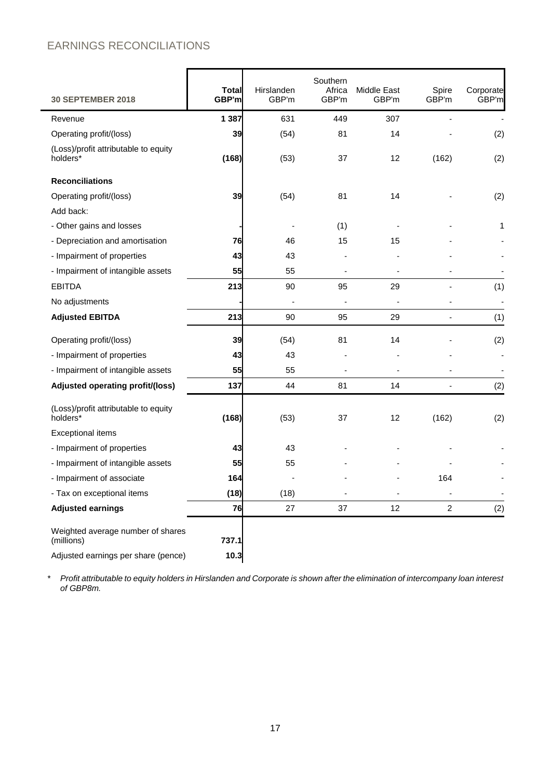# EARNINGS RECONCILIATIONS

| <b>30 SEPTEMBER 2018</b>                         | <b>Total</b><br>GBP'm | Hirslanden<br>GBP'm | Southern<br>Africa<br>GBP'm | Middle East<br>GBP'm | Spire<br>GBP'm | Corporate<br>GBP'm |
|--------------------------------------------------|-----------------------|---------------------|-----------------------------|----------------------|----------------|--------------------|
| Revenue                                          | 1 3 8 7               | 631                 | 449                         | 307                  |                |                    |
| Operating profit/(loss)                          | 39                    | (54)                | 81                          | 14                   |                | (2)                |
| (Loss)/profit attributable to equity<br>holders* | (168)                 | (53)                | 37                          | 12                   | (162)          | (2)                |
| <b>Reconciliations</b>                           |                       |                     |                             |                      |                |                    |
| Operating profit/(loss)                          | 39                    | (54)                | 81                          | 14                   |                | (2)                |
| Add back:                                        |                       |                     |                             |                      |                |                    |
| - Other gains and losses                         |                       |                     | (1)                         |                      |                | 1                  |
| - Depreciation and amortisation                  | 76                    | 46                  | 15                          | 15                   |                |                    |
| - Impairment of properties                       | 43                    | 43                  |                             |                      |                |                    |
| - Impairment of intangible assets                | 55                    | 55                  | $\blacksquare$              | $\blacksquare$       |                |                    |
| <b>EBITDA</b>                                    | 213                   | 90                  | 95                          | 29                   |                | (1)                |
| No adjustments                                   |                       |                     |                             |                      |                |                    |
| <b>Adjusted EBITDA</b>                           | 213                   | 90                  | 95                          | 29                   |                | (1)                |
| Operating profit/(loss)                          | 39                    | (54)                | 81                          | 14                   |                | (2)                |
| - Impairment of properties                       | 43                    | 43                  |                             |                      |                |                    |
| - Impairment of intangible assets                | 55                    | 55                  |                             | ÷,                   |                |                    |
| Adjusted operating profit/(loss)                 | 137                   | 44                  | 81                          | 14                   |                | (2)                |
| (Loss)/profit attributable to equity<br>holders* | (168)                 | (53)                | 37                          | 12                   | (162)          | (2)                |
| <b>Exceptional items</b>                         |                       |                     |                             |                      |                |                    |
| - Impairment of properties                       | 43                    | 43                  |                             |                      |                |                    |
| - Impairment of intangible assets                | 55                    | 55                  |                             |                      |                |                    |
| - Impairment of associate                        | 164                   |                     |                             |                      | 164            |                    |
| - Tax on exceptional items                       | (18)                  | (18)                |                             |                      |                |                    |
| <b>Adjusted earnings</b>                         | 76                    | 27                  | 37                          | 12                   | $\overline{c}$ | (2)                |
| Weighted average number of shares<br>(millions)  | 737.1                 |                     |                             |                      |                |                    |
| Adjusted earnings per share (pence)              | 10.3                  |                     |                             |                      |                |                    |

*\* Profit attributable to equity holders in Hirslanden and Corporate is shown after the elimination of intercompany loan interest of GBP8m.*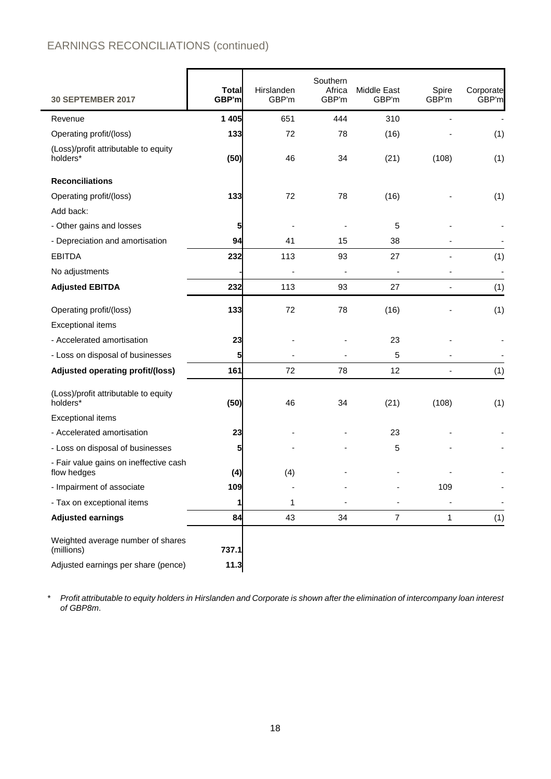# EARNINGS RECONCILIATIONS (continued)

| <b>30 SEPTEMBER 2017</b>                                                               | <b>Total</b><br>GBP'm | Hirslanden<br>GBP'm | Southern<br>Africa<br>GBP'm | Middle East<br>GBP'm     | Spire<br>GBP'm | Corporate<br>GBP'm |
|----------------------------------------------------------------------------------------|-----------------------|---------------------|-----------------------------|--------------------------|----------------|--------------------|
| Revenue                                                                                | 1 4 0 5               | 651                 | 444                         | 310                      |                |                    |
| Operating profit/(loss)                                                                | 133                   | 72                  | 78                          | (16)                     |                | (1)                |
| (Loss)/profit attributable to equity<br>holders*                                       | (50)                  | 46                  | 34                          | (21)                     | (108)          | (1)                |
| <b>Reconciliations</b>                                                                 |                       |                     |                             |                          |                |                    |
| Operating profit/(loss)                                                                | 133                   | 72                  | 78                          | (16)                     |                | (1)                |
| Add back:                                                                              |                       |                     |                             |                          |                |                    |
| - Other gains and losses                                                               | 5                     |                     |                             | 5                        |                |                    |
| - Depreciation and amortisation                                                        | 94                    | 41                  | 15                          | 38                       |                |                    |
| <b>EBITDA</b>                                                                          | 232                   | 113                 | 93                          | 27                       |                | (1)                |
| No adjustments                                                                         |                       |                     |                             | $\overline{\phantom{a}}$ |                |                    |
| <b>Adjusted EBITDA</b>                                                                 | 232                   | 113                 | 93                          | 27                       |                | (1)                |
| Operating profit/(loss)                                                                | 133                   | 72                  | 78                          | (16)                     |                | (1)                |
| Exceptional items                                                                      |                       |                     |                             |                          |                |                    |
| - Accelerated amortisation                                                             | 23                    |                     |                             | 23                       |                |                    |
| - Loss on disposal of businesses                                                       | 5                     |                     |                             | 5                        |                |                    |
| Adjusted operating profit/(loss)                                                       | 161                   | 72                  | 78                          | 12                       | $\overline{a}$ | (1)                |
| (Loss)/profit attributable to equity<br>holders*                                       | (50)                  | 46                  | 34                          | (21)                     | (108)          | (1)                |
| <b>Exceptional items</b>                                                               |                       |                     |                             |                          |                |                    |
| - Accelerated amortisation                                                             | 23                    |                     |                             | 23                       |                |                    |
| - Loss on disposal of businesses                                                       | 5                     |                     |                             | 5                        |                |                    |
| - Fair value gains on ineffective cash<br>flow hedges                                  | (4)                   | (4)                 |                             |                          |                |                    |
| - Impairment of associate                                                              | 109                   |                     |                             |                          | 109            |                    |
| - Tax on exceptional items                                                             |                       | 1                   |                             |                          |                |                    |
| <b>Adjusted earnings</b>                                                               | 84                    | 43                  | 34                          | $\overline{7}$           | 1              | (1)                |
| Weighted average number of shares<br>(millions)<br>Adjusted earnings per share (pence) | 737.1<br>11.3         |                     |                             |                          |                |                    |

*\* Profit attributable to equity holders in Hirslanden and Corporate is shown after the elimination of intercompany loan interest of GBP8m*.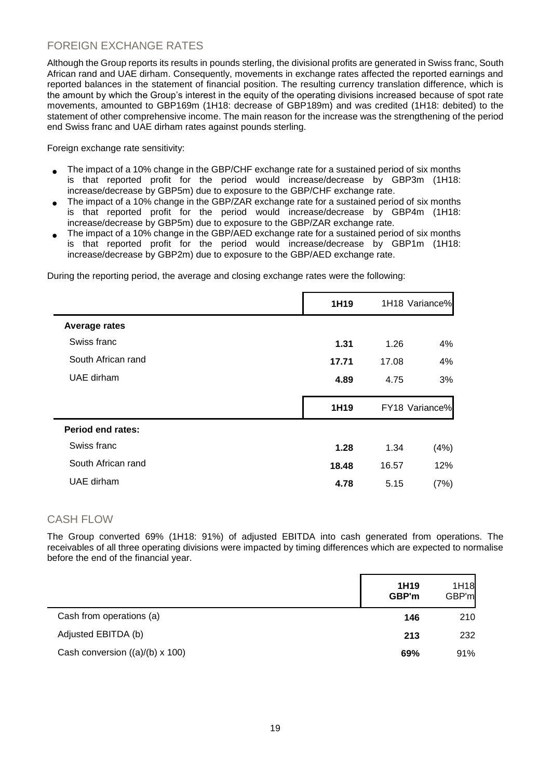# FOREIGN EXCHANGE RATES

Although the Group reports its results in pounds sterling, the divisional profits are generated in Swiss franc, South African rand and UAE dirham. Consequently, movements in exchange rates affected the reported earnings and reported balances in the statement of financial position. The resulting currency translation difference, which is the amount by which the Group's interest in the equity of the operating divisions increased because of spot rate movements, amounted to GBP169m (1H18: decrease of GBP189m) and was credited (1H18: debited) to the statement of other comprehensive income. The main reason for the increase was the strengthening of the period end Swiss franc and UAE dirham rates against pounds sterling.

Foreign exchange rate sensitivity:

- The impact of a 10% change in the GBP/CHF exchange rate for a sustained period of six months is that reported profit for the period would increase/decrease by GBP3m (1H18: increase/decrease by GBP5m) due to exposure to the GBP/CHF exchange rate.
- The impact of a 10% change in the GBP/ZAR exchange rate for a sustained period of six months is that reported profit for the period would increase/decrease by GBP4m (1H18: increase/decrease by GBP5m) due to exposure to the GBP/ZAR exchange rate.
- The impact of a 10% change in the GBP/AED exchange rate for a sustained period of six months is that reported profit for the period would increase/decrease by GBP1m (1H18: increase/decrease by GBP2m) due to exposure to the GBP/AED exchange rate.

During the reporting period, the average and closing exchange rates were the following:

|                          | 1H19  |       | 1H18 Variance% |
|--------------------------|-------|-------|----------------|
| <b>Average rates</b>     |       |       |                |
| Swiss franc              | 1.31  | 1.26  | 4%             |
| South African rand       | 17.71 | 17.08 | 4%             |
| UAE dirham               | 4.89  | 4.75  | 3%             |
|                          |       |       |                |
|                          | 1H19  |       | FY18 Variance% |
| <b>Period end rates:</b> |       |       |                |
| Swiss franc              | 1.28  | 1.34  | (4%)           |
| South African rand       | 18.48 | 16.57 | 12%            |
| UAE dirham               | 4.78  | 5.15  | (7%)           |
|                          |       |       |                |

## CASH FLOW

The Group converted 69% (1H18: 91%) of adjusted EBITDA into cash generated from operations. The receivables of all three operating divisions were impacted by timing differences which are expected to normalise before the end of the financial year.

|                                        | 1H19<br>GBP'm | 1H18<br>GBP'm |
|----------------------------------------|---------------|---------------|
| Cash from operations (a)               | 146           | 210           |
| Adjusted EBITDA (b)                    | 213           | 232           |
| Cash conversion $((a)/(b) \times 100)$ | 69%           | 91%           |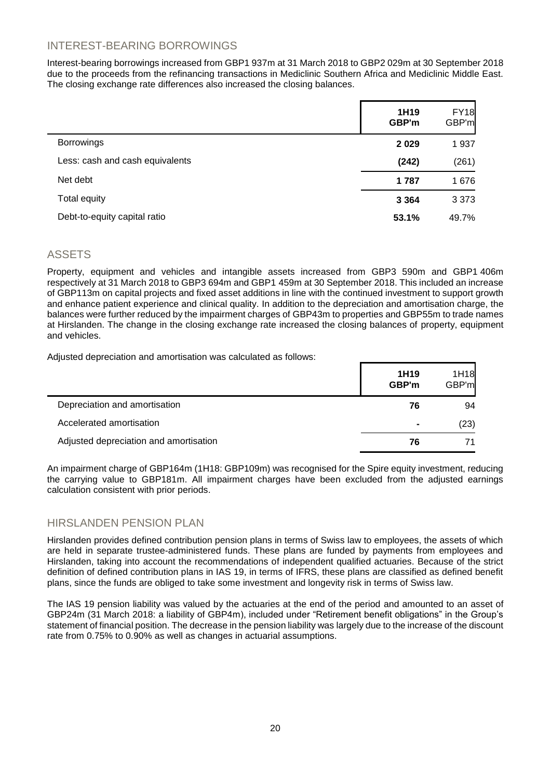# INTEREST-BEARING BORROWINGS

Interest-bearing borrowings increased from GBP1 937m at 31 March 2018 to GBP2 029m at 30 September 2018 due to the proceeds from the refinancing transactions in Mediclinic Southern Africa and Mediclinic Middle East. The closing exchange rate differences also increased the closing balances.

|                                 | 1H19<br>GBP'm | <b>FY18</b><br>GBP'm |
|---------------------------------|---------------|----------------------|
| <b>Borrowings</b>               | 2029          | 1937                 |
| Less: cash and cash equivalents | (242)         | (261)                |
| Net debt                        | 1787          | 1676                 |
| Total equity                    | 3 3 6 4       | 3 3 7 3              |
| Debt-to-equity capital ratio    | 53.1%         | 49.7%                |

# ASSETS

Property, equipment and vehicles and intangible assets increased from GBP3 590m and GBP1 406m respectively at 31 March 2018 to GBP3 694m and GBP1 459m at 30 September 2018. This included an increase of GBP113m on capital projects and fixed asset additions in line with the continued investment to support growth and enhance patient experience and clinical quality. In addition to the depreciation and amortisation charge, the balances were further reduced by the impairment charges of GBP43m to properties and GBP55m to trade names at Hirslanden. The change in the closing exchange rate increased the closing balances of property, equipment and vehicles.

Adjusted depreciation and amortisation was calculated as follows:

|                                        | 1H <sub>19</sub><br>GBP'm | 1H18<br>GBP'm |
|----------------------------------------|---------------------------|---------------|
| Depreciation and amortisation          | 76                        | 94            |
| Accelerated amortisation               | $\blacksquare$            | (23)          |
| Adjusted depreciation and amortisation | 76                        | 71            |

An impairment charge of GBP164m (1H18: GBP109m) was recognised for the Spire equity investment, reducing the carrying value to GBP181m. All impairment charges have been excluded from the adjusted earnings calculation consistent with prior periods.

# HIRSLANDEN PENSION PLAN

Hirslanden provides defined contribution pension plans in terms of Swiss law to employees, the assets of which are held in separate trustee-administered funds. These plans are funded by payments from employees and Hirslanden, taking into account the recommendations of independent qualified actuaries. Because of the strict definition of defined contribution plans in IAS 19, in terms of IFRS, these plans are classified as defined benefit plans, since the funds are obliged to take some investment and longevity risk in terms of Swiss law.

The IAS 19 pension liability was valued by the actuaries at the end of the period and amounted to an asset of GBP24m (31 March 2018: a liability of GBP4m), included under "Retirement benefit obligations" in the Group's statement of financial position. The decrease in the pension liability was largely due to the increase of the discount rate from 0.75% to 0.90% as well as changes in actuarial assumptions.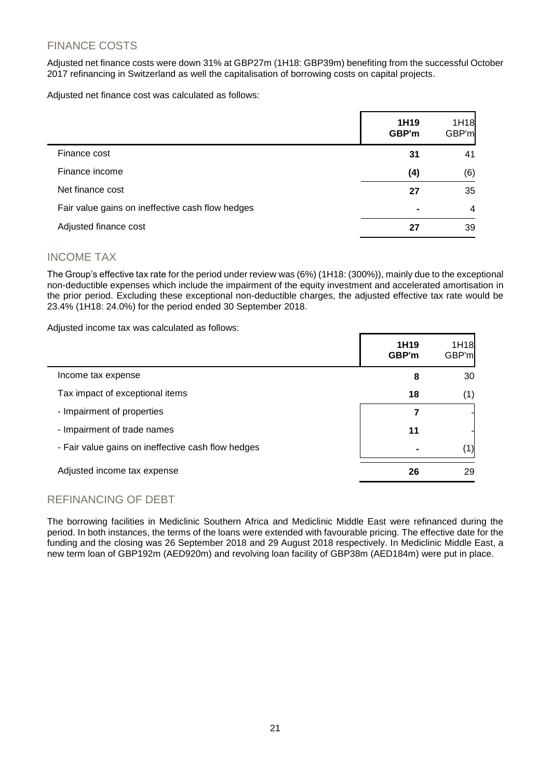# FINANCE COSTS

Adjusted net finance costs were down 31% at GBP27m (1H18: GBP39m) benefiting from the successful October 2017 refinancing in Switzerland as well the capitalisation of borrowing costs on capital projects.

Adjusted net finance cost was calculated as follows:

|                                                  | 1H19<br>GBP'm | 1H18<br>GBP'm |
|--------------------------------------------------|---------------|---------------|
| Finance cost                                     | 31            | 41            |
| Finance income                                   | (4)           | (6)           |
| Net finance cost                                 | 27            | 35            |
| Fair value gains on ineffective cash flow hedges |               | 4             |
| Adjusted finance cost                            | 27            | 39            |

# INCOME TAX

The Group's effective tax rate for the period under review was (6%) (1H18: (300%)), mainly due to the exceptional non-deductible expenses which include the impairment of the equity investment and accelerated amortisation in the prior period. Excluding these exceptional non-deductible charges, the adjusted effective tax rate would be 23.4% (1H18: 24.0%) for the period ended 30 September 2018.

Adjusted income tax was calculated as follows:

|                                                    | 1H <sub>19</sub><br>GBP'm | 1H18<br>GBP'm |
|----------------------------------------------------|---------------------------|---------------|
| Income tax expense                                 | 8                         | 30            |
| Tax impact of exceptional items                    | 18                        | (1)           |
| - Impairment of properties                         | 7                         |               |
| - Impairment of trade names                        | 11                        |               |
| - Fair value gains on ineffective cash flow hedges |                           |               |
| Adjusted income tax expense                        | 26                        | 29            |

# REFINANCING OF DEBT

The borrowing facilities in Mediclinic Southern Africa and Mediclinic Middle East were refinanced during the period. In both instances, the terms of the loans were extended with favourable pricing. The effective date for the funding and the closing was 26 September 2018 and 29 August 2018 respectively. In Mediclinic Middle East, a new term loan of GBP192m (AED920m) and revolving loan facility of GBP38m (AED184m) were put in place.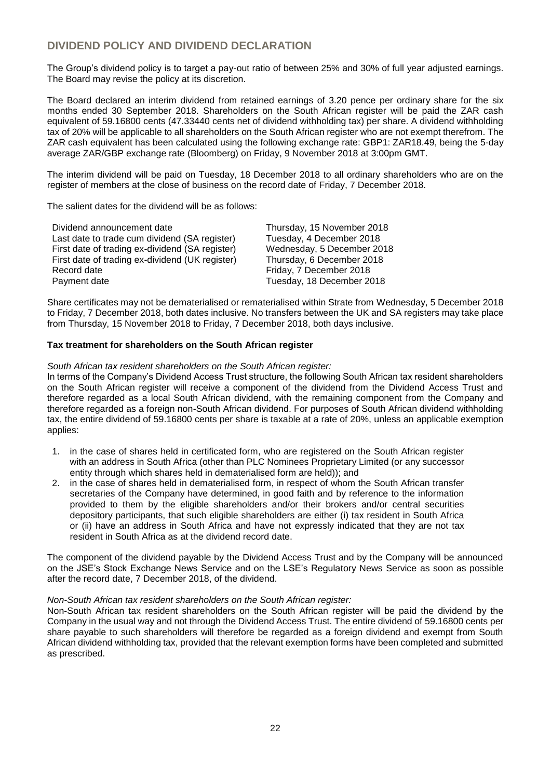# **DIVIDEND POLICY AND DIVIDEND DECLARATION**

The Group's dividend policy is to target a pay-out ratio of between 25% and 30% of full year adjusted earnings. The Board may revise the policy at its discretion.

The Board declared an interim dividend from retained earnings of 3.20 pence per ordinary share for the six months ended 30 September 2018. Shareholders on the South African register will be paid the ZAR cash equivalent of 59.16800 cents (47.33440 cents net of dividend withholding tax) per share. A dividend withholding tax of 20% will be applicable to all shareholders on the South African register who are not exempt therefrom. The ZAR cash equivalent has been calculated using the following exchange rate: GBP1: ZAR18.49, being the 5-day average ZAR/GBP exchange rate (Bloomberg) on Friday, 9 November 2018 at 3:00pm GMT.

The interim dividend will be paid on Tuesday, 18 December 2018 to all ordinary shareholders who are on the register of members at the close of business on the record date of Friday, 7 December 2018.

The salient dates for the dividend will be as follows:

| Dividend announcement date                      | Thursday, 15 November 2018 |
|-------------------------------------------------|----------------------------|
| Last date to trade cum dividend (SA register)   | Tuesday, 4 December 2018   |
| First date of trading ex-dividend (SA register) | Wednesday, 5 December 2018 |
| First date of trading ex-dividend (UK register) | Thursday, 6 December 2018  |
| Record date                                     | Friday, 7 December 2018    |
| Payment date                                    | Tuesday, 18 December 2018  |

Share certificates may not be dematerialised or rematerialised within Strate from Wednesday, 5 December 2018 to Friday, 7 December 2018, both dates inclusive. No transfers between the UK and SA registers may take place from Thursday, 15 November 2018 to Friday, 7 December 2018, both days inclusive.

## **Tax treatment for shareholders on the South African register**

## *South African tax resident shareholders on the South African register:*

In terms of the Company's Dividend Access Trust structure, the following South African tax resident shareholders on the South African register will receive a component of the dividend from the Dividend Access Trust and therefore regarded as a local South African dividend, with the remaining component from the Company and therefore regarded as a foreign non-South African dividend. For purposes of South African dividend withholding tax, the entire dividend of 59.16800 cents per share is taxable at a rate of 20%, unless an applicable exemption applies:

- 1. in the case of shares held in certificated form, who are registered on the South African register with an address in South Africa (other than PLC Nominees Proprietary Limited (or any successor entity through which shares held in dematerialised form are held)); and
- 2. in the case of shares held in dematerialised form, in respect of whom the South African transfer secretaries of the Company have determined, in good faith and by reference to the information provided to them by the eligible shareholders and/or their brokers and/or central securities depository participants, that such eligible shareholders are either (i) tax resident in South Africa or (ii) have an address in South Africa and have not expressly indicated that they are not tax resident in South Africa as at the dividend record date.

The component of the dividend payable by the Dividend Access Trust and by the Company will be announced on the JSE's Stock Exchange News Service and on the LSE's Regulatory News Service as soon as possible after the record date, 7 December 2018, of the dividend.

## *Non-South African tax resident shareholders on the South African register:*

Non-South African tax resident shareholders on the South African register will be paid the dividend by the Company in the usual way and not through the Dividend Access Trust. The entire dividend of 59.16800 cents per share payable to such shareholders will therefore be regarded as a foreign dividend and exempt from South African dividend withholding tax, provided that the relevant exemption forms have been completed and submitted as prescribed.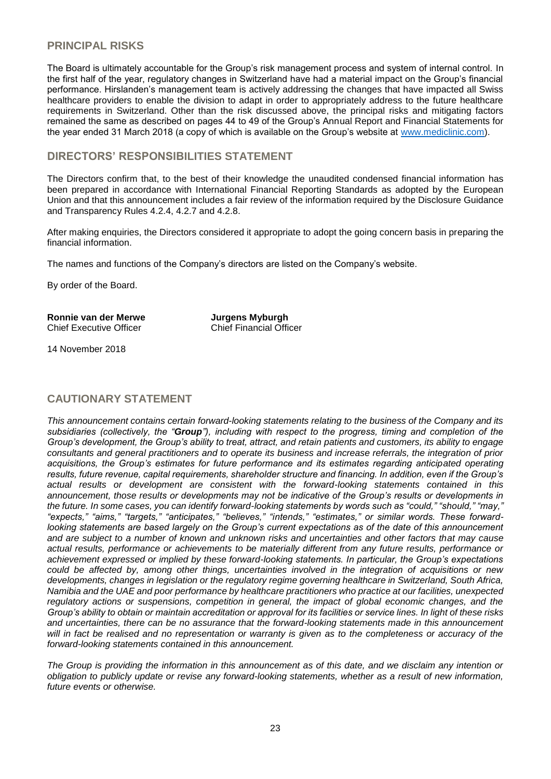# **PRINCIPAL RISKS**

The Board is ultimately accountable for the Group's risk management process and system of internal control. In the first half of the year, regulatory changes in Switzerland have had a material impact on the Group's financial performance. Hirslanden's management team is actively addressing the changes that have impacted all Swiss healthcare providers to enable the division to adapt in order to appropriately address to the future healthcare requirements in Switzerland. Other than the risk discussed above, the principal risks and mitigating factors remained the same as described on pages 44 to 49 of the Group's Annual Report and Financial Statements for the year ended 31 March 2018 (a copy of which is available on the Group's website at [www.mediclinic.com\)](http://www.mediclinic.com/).

## **DIRECTORS' RESPONSIBILITIES STATEMENT**

The Directors confirm that, to the best of their knowledge the unaudited condensed financial information has been prepared in accordance with International Financial Reporting Standards as adopted by the European Union and that this announcement includes a fair review of the information required by the Disclosure Guidance and Transparency Rules 4.2.4, 4.2.7 and 4.2.8.

After making enquiries, the Directors considered it appropriate to adopt the going concern basis in preparing the financial information.

The names and functions of the Company's directors are listed on the Company's website.

By order of the Board.

**Ronnie van der Merwe Jurgens Myburgh Chief Executive Officer** 

14 November 2018

# **CAUTIONARY STATEMENT**

*This announcement contains certain forward-looking statements relating to the business of the Company and its subsidiaries (collectively, the "Group"), including with respect to the progress, timing and completion of the Group's development, the Group's ability to treat, attract, and retain patients and customers, its ability to engage consultants and general practitioners and to operate its business and increase referrals, the integration of prior*  acquisitions, the Group's estimates for future performance and its estimates regarding anticipated operating *results, future revenue, capital requirements, shareholder structure and financing. In addition, even if the Group's actual results or development are consistent with the forward-looking statements contained in this announcement, those results or developments may not be indicative of the Group's results or developments in the future. In some cases, you can identify forward-looking statements by words such as "could," "should," "may," "expects," "aims," "targets," "anticipates," "believes," "intends," "estimates," or similar words. These forwardlooking statements are based largely on the Group's current expectations as of the date of this announcement and are subject to a number of known and unknown risks and uncertainties and other factors that may cause actual results, performance or achievements to be materially different from any future results, performance or achievement expressed or implied by these forward-looking statements. In particular, the Group's expectations could be affected by, among other things, uncertainties involved in the integration of acquisitions or new developments, changes in legislation or the regulatory regime governing healthcare in Switzerland, South Africa, Namibia and the UAE and poor performance by healthcare practitioners who practice at our facilities, unexpected regulatory actions or suspensions, competition in general, the impact of global economic changes, and the Group's ability to obtain or maintain accreditation or approval for its facilities or service lines. In light of these risks and uncertainties, there can be no assurance that the forward-looking statements made in this announcement will in fact be realised and no representation or warranty is given as to the completeness or accuracy of the forward-looking statements contained in this announcement.*

*The Group is providing the information in this announcement as of this date, and we disclaim any intention or obligation to publicly update or revise any forward-looking statements, whether as a result of new information, future events or otherwise.*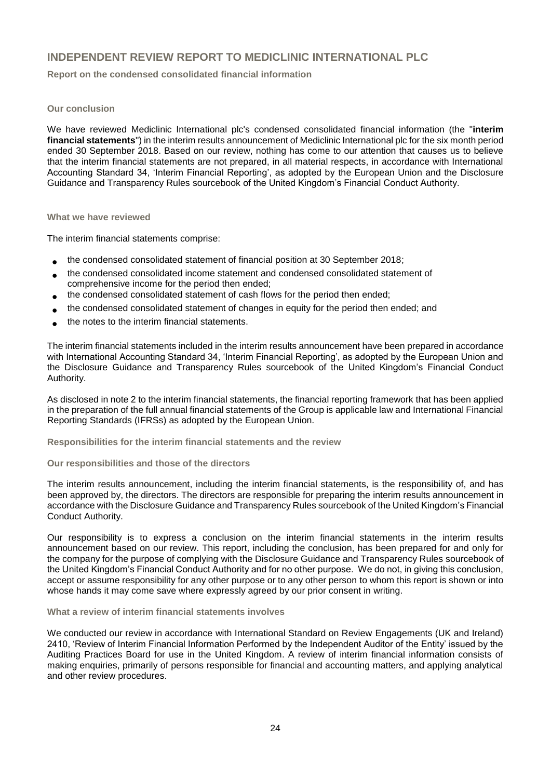# **INDEPENDENT REVIEW REPORT TO MEDICLINIC INTERNATIONAL PLC**

**Report on the condensed consolidated financial information**

## **Our conclusion**

We have reviewed Mediclinic International plc's condensed consolidated financial information (the "**interim financial statements**") in the interim results announcement of Mediclinic International plc for the six month period ended 30 September 2018. Based on our review, nothing has come to our attention that causes us to believe that the interim financial statements are not prepared, in all material respects, in accordance with International Accounting Standard 34, 'Interim Financial Reporting', as adopted by the European Union and the Disclosure Guidance and Transparency Rules sourcebook of the United Kingdom's Financial Conduct Authority.

### **What we have reviewed**

The interim financial statements comprise:

- the condensed consolidated statement of financial position at 30 September 2018;
- the condensed consolidated income statement and condensed consolidated statement of comprehensive income for the period then ended;
- the condensed consolidated statement of cash flows for the period then ended;
- the condensed consolidated statement of changes in equity for the period then ended; and
- the notes to the interim financial statements.

The interim financial statements included in the interim results announcement have been prepared in accordance with International Accounting Standard 34, 'Interim Financial Reporting', as adopted by the European Union and the Disclosure Guidance and Transparency Rules sourcebook of the United Kingdom's Financial Conduct Authority.

As disclosed in note 2 to the interim financial statements, the financial reporting framework that has been applied in the preparation of the full annual financial statements of the Group is applicable law and International Financial Reporting Standards (IFRSs) as adopted by the European Union.

**Responsibilities for the interim financial statements and the review**

## **Our responsibilities and those of the directors**

The interim results announcement, including the interim financial statements, is the responsibility of, and has been approved by, the directors. The directors are responsible for preparing the interim results announcement in accordance with the Disclosure Guidance and Transparency Rules sourcebook of the United Kingdom's Financial Conduct Authority.

Our responsibility is to express a conclusion on the interim financial statements in the interim results announcement based on our review. This report, including the conclusion, has been prepared for and only for the company for the purpose of complying with the Disclosure Guidance and Transparency Rules sourcebook of the United Kingdom's Financial Conduct Authority and for no other purpose. We do not, in giving this conclusion, accept or assume responsibility for any other purpose or to any other person to whom this report is shown or into whose hands it may come save where expressly agreed by our prior consent in writing.

## **What a review of interim financial statements involves**

We conducted our review in accordance with International Standard on Review Engagements (UK and Ireland) 2410, 'Review of Interim Financial Information Performed by the Independent Auditor of the Entity' issued by the Auditing Practices Board for use in the United Kingdom. A review of interim financial information consists of making enquiries, primarily of persons responsible for financial and accounting matters, and applying analytical and other review procedures.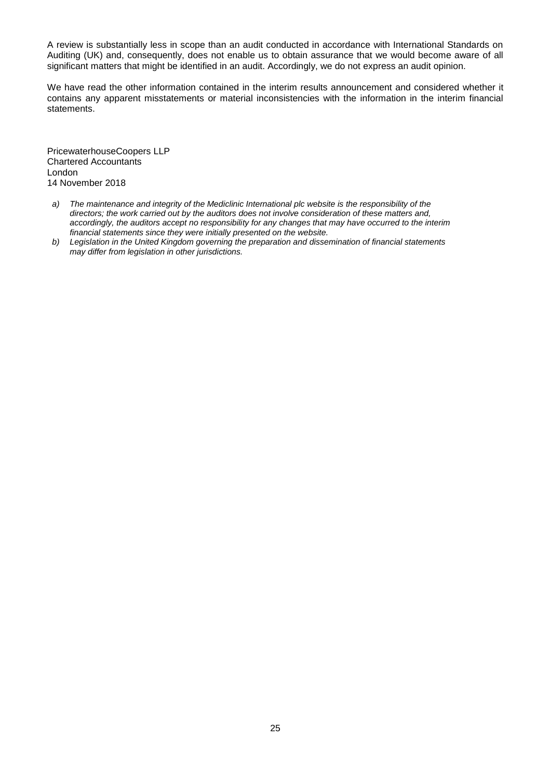A review is substantially less in scope than an audit conducted in accordance with International Standards on Auditing (UK) and, consequently, does not enable us to obtain assurance that we would become aware of all significant matters that might be identified in an audit. Accordingly, we do not express an audit opinion.

We have read the other information contained in the interim results announcement and considered whether it contains any apparent misstatements or material inconsistencies with the information in the interim financial statements.

PricewaterhouseCoopers LLP Chartered Accountants London 14 November 2018

- *a) The maintenance and integrity of the Mediclinic International plc website is the responsibility of the directors; the work carried out by the auditors does not involve consideration of these matters and, accordingly, the auditors accept no responsibility for any changes that may have occurred to the interim financial statements since they were initially presented on the website.*
- *b) Legislation in the United Kingdom governing the preparation and dissemination of financial statements may differ from legislation in other jurisdictions.*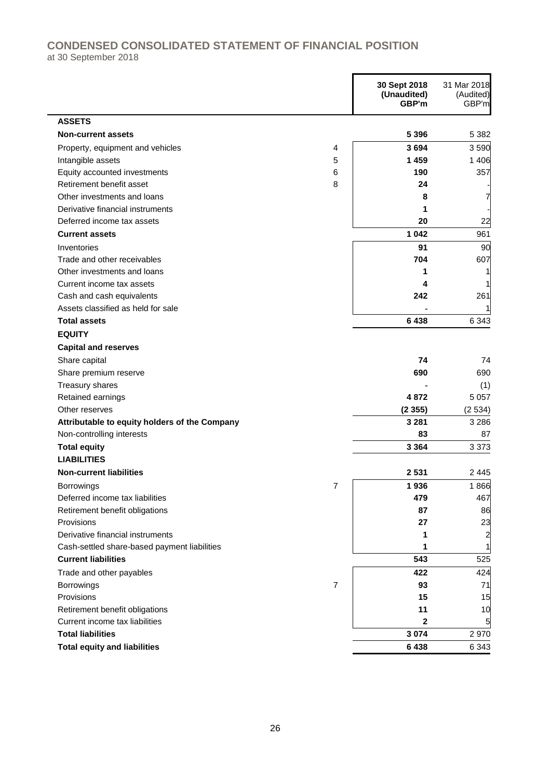# **CONDENSED CONSOLIDATED STATEMENT OF FINANCIAL POSITION**

at 30 September 2018

|                                               |                | 30 Sept 2018<br>(Unaudited)<br>GBP'm | 31 Mar 2018<br>(Audited)<br>GBP'm |
|-----------------------------------------------|----------------|--------------------------------------|-----------------------------------|
| <b>ASSETS</b>                                 |                |                                      |                                   |
| <b>Non-current assets</b>                     |                | 5 3 9 6                              | 5 3 8 2                           |
| Property, equipment and vehicles              | 4              | 3694                                 | 3590                              |
| Intangible assets                             | 5              | 1459                                 | 1 4 0 6                           |
| Equity accounted investments                  | 6              | 190                                  | 357                               |
| Retirement benefit asset                      | 8              | 24                                   |                                   |
| Other investments and loans                   |                | 8                                    |                                   |
| Derivative financial instruments              |                | 1                                    |                                   |
| Deferred income tax assets                    |                | 20                                   | 22                                |
| <b>Current assets</b>                         |                | 1 0 4 2                              | 961                               |
| Inventories                                   |                | 91                                   | 90                                |
| Trade and other receivables                   |                | 704                                  | 607                               |
| Other investments and loans                   |                | 1                                    |                                   |
| Current income tax assets                     |                | 4                                    |                                   |
| Cash and cash equivalents                     |                | 242                                  | 261                               |
| Assets classified as held for sale            |                |                                      |                                   |
| <b>Total assets</b>                           |                | 6438                                 | 6 3 4 3                           |
| <b>EQUITY</b>                                 |                |                                      |                                   |
| <b>Capital and reserves</b>                   |                |                                      |                                   |
| Share capital                                 |                | 74                                   | 74                                |
| Share premium reserve                         |                | 690                                  | 690                               |
| Treasury shares                               |                |                                      | (1)                               |
| Retained earnings                             |                | 4872                                 | 5 0 5 7                           |
| Other reserves                                |                | (2355)                               | (2534)                            |
| Attributable to equity holders of the Company |                | 3 2 8 1                              | 3 2 8 6                           |
| Non-controlling interests                     |                | 83                                   | 87                                |
| <b>Total equity</b>                           |                | 3 3 6 4                              | 3 3 7 3                           |
| <b>LIABILITIES</b>                            |                |                                      |                                   |
| <b>Non-current liabilities</b>                |                | 2 5 3 1                              | 2 4 4 5                           |
| Borrowings                                    | 7              | 1936                                 | 1866                              |
| Deferred income tax liabilities               |                | 479                                  | 467                               |
| Retirement benefit obligations                |                | 87                                   | 86                                |
| Provisions                                    |                | 27                                   | 23                                |
| Derivative financial instruments              |                | 1                                    |                                   |
| Cash-settled share-based payment liabilities  |                | 1                                    | 1                                 |
| <b>Current liabilities</b>                    |                | 543                                  | 525                               |
| Trade and other payables                      |                | 422                                  | 424                               |
| Borrowings                                    | $\overline{7}$ | 93                                   | 71                                |
| Provisions                                    |                | 15                                   | 15                                |
| Retirement benefit obligations                |                | 11                                   | 10                                |
| Current income tax liabilities                |                | $\boldsymbol{2}$                     |                                   |
| <b>Total liabilities</b>                      |                | 3 0 7 4                              | 5<br>2 9 7 0                      |
|                                               |                |                                      |                                   |
| <b>Total equity and liabilities</b>           |                | 6438                                 | 6 3 4 3                           |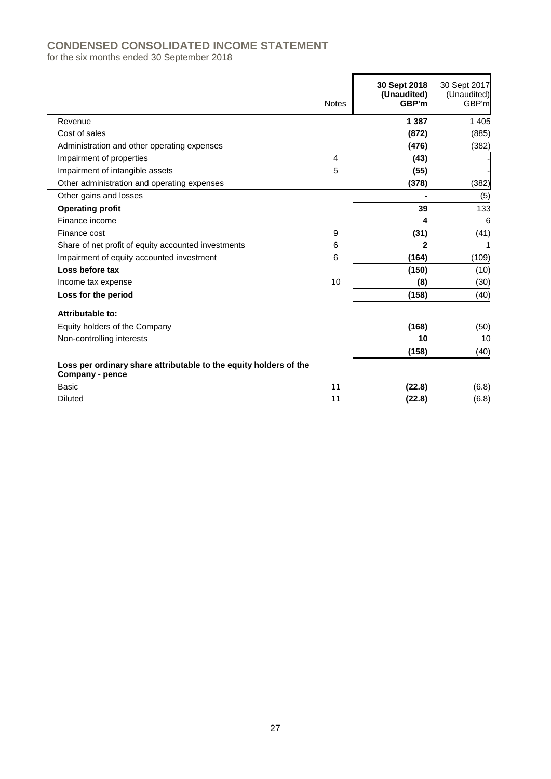# **CONDENSED CONSOLIDATED INCOME STATEMENT**

|                                                                                      | <b>Notes</b> | 30 Sept 2018<br>(Unaudited)<br>GBP'm | 30 Sept 2017<br>(Unaudited)<br>GBP'm |
|--------------------------------------------------------------------------------------|--------------|--------------------------------------|--------------------------------------|
| Revenue                                                                              |              | 1 3 8 7                              | 1 4 0 5                              |
| Cost of sales                                                                        |              | (872)                                | (885)                                |
| Administration and other operating expenses                                          |              | (476)                                | (382)                                |
| Impairment of properties                                                             | 4            | (43)                                 |                                      |
| Impairment of intangible assets                                                      | 5            | (55)                                 |                                      |
| Other administration and operating expenses                                          |              | (378)                                | (382)                                |
| Other gains and losses                                                               |              |                                      | (5)                                  |
| <b>Operating profit</b>                                                              |              | 39                                   | 133                                  |
| Finance income                                                                       |              | 4                                    | 6                                    |
| Finance cost                                                                         | 9            | (31)                                 | (41)                                 |
| Share of net profit of equity accounted investments                                  | 6            | 2                                    |                                      |
| Impairment of equity accounted investment                                            | 6            | (164)                                | (109)                                |
| Loss before tax                                                                      |              | (150)                                | (10)                                 |
| Income tax expense                                                                   | 10           | (8)                                  | (30)                                 |
| Loss for the period                                                                  |              | (158)                                | (40)                                 |
| Attributable to:                                                                     |              |                                      |                                      |
| Equity holders of the Company                                                        |              | (168)                                | (50)                                 |
| Non-controlling interests                                                            |              | 10                                   | 10                                   |
|                                                                                      |              | (158)                                | (40)                                 |
| Loss per ordinary share attributable to the equity holders of the<br>Company - pence |              |                                      |                                      |
| <b>Basic</b>                                                                         | 11           | (22.8)                               | (6.8)                                |
| <b>Diluted</b>                                                                       | 11           | (22.8)                               | (6.8)                                |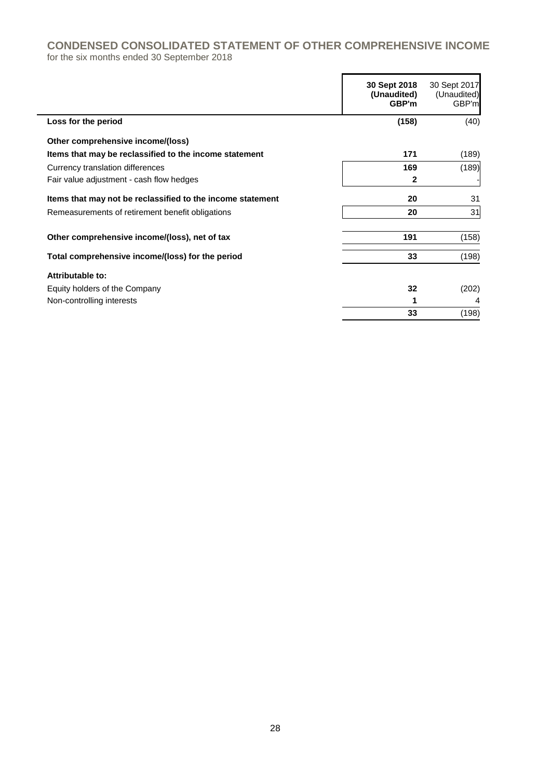# **CONDENSED CONSOLIDATED STATEMENT OF OTHER COMPREHENSIVE INCOME**

|                                                            | 30 Sept 2018<br>(Unaudited)<br>GBP'm | 30 Sept 2017<br>(Unaudited)<br>GBP'm |
|------------------------------------------------------------|--------------------------------------|--------------------------------------|
| Loss for the period                                        | (158)                                | (40)                                 |
| Other comprehensive income/(loss)                          |                                      |                                      |
| Items that may be reclassified to the income statement     | 171                                  | (189)                                |
| Currency translation differences                           | 169                                  | (189)                                |
| Fair value adjustment - cash flow hedges                   | 2                                    |                                      |
| Items that may not be reclassified to the income statement | 20                                   | 31                                   |
| Remeasurements of retirement benefit obligations           | 20                                   | 31                                   |
| Other comprehensive income/(loss), net of tax              | 191                                  | (158)                                |
| Total comprehensive income/(loss) for the period           | 33                                   | (198)                                |
| <b>Attributable to:</b>                                    |                                      |                                      |
| Equity holders of the Company                              | 32                                   | (202)                                |
| Non-controlling interests                                  | 1                                    | 4                                    |
|                                                            | 33                                   | (198)                                |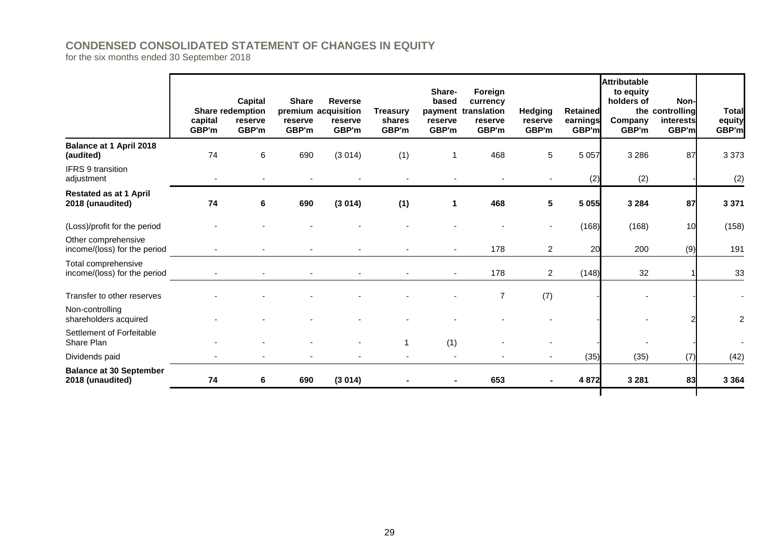# **CONDENSED CONSOLIDATED STATEMENT OF CHANGES IN EQUITY**

| capital<br>GBP'm         | Capital<br>reserve<br>GBP'm | <b>Share</b><br>reserve<br>GBP'm | <b>Reverse</b><br>reserve<br>GBP'm | Treasury<br>shares<br>GBP'm | Share-<br>based<br>reserve<br>GBP'm | Foreign<br>currency<br>reserve<br>GBP'm | <b>Hedging</b><br>reserve<br>GBP'm | Company<br>GBP'm |                                                                                                                                                                                           | <b>Total</b><br>equity<br>GBP'm                                                         |
|--------------------------|-----------------------------|----------------------------------|------------------------------------|-----------------------------|-------------------------------------|-----------------------------------------|------------------------------------|------------------|-------------------------------------------------------------------------------------------------------------------------------------------------------------------------------------------|-----------------------------------------------------------------------------------------|
| 74                       | 6                           | 690                              | (3014)                             | (1)                         |                                     | 468                                     | 5                                  |                  |                                                                                                                                                                                           | 3 3 7 3                                                                                 |
| $\overline{\phantom{a}}$ |                             |                                  |                                    |                             |                                     |                                         | $\overline{\phantom{a}}$           | (2)              |                                                                                                                                                                                           | (2)                                                                                     |
| 74                       | 6                           | 690                              | (3014)                             | (1)                         | 1                                   | 468                                     | 5                                  |                  |                                                                                                                                                                                           | 3 3 7 1                                                                                 |
|                          |                             |                                  |                                    |                             |                                     |                                         |                                    |                  | 10                                                                                                                                                                                        | (158)                                                                                   |
|                          |                             |                                  |                                    |                             |                                     | 178                                     | $\overline{c}$                     |                  | (9)                                                                                                                                                                                       | 191                                                                                     |
|                          |                             |                                  |                                    |                             |                                     | 178                                     | $\overline{2}$                     |                  |                                                                                                                                                                                           | 33                                                                                      |
|                          |                             |                                  |                                    |                             |                                     | $\overline{7}$                          | (7)                                |                  |                                                                                                                                                                                           | $\overline{\phantom{a}}$                                                                |
|                          |                             |                                  |                                    |                             |                                     |                                         |                                    |                  |                                                                                                                                                                                           | 2                                                                                       |
|                          |                             |                                  |                                    | -1                          | (1)                                 |                                         |                                    |                  |                                                                                                                                                                                           |                                                                                         |
|                          |                             |                                  |                                    |                             |                                     |                                         |                                    |                  | (7)                                                                                                                                                                                       | (42)                                                                                    |
| 74                       | 6                           | 690                              | (3014)                             |                             |                                     | 653                                     |                                    | 3 2 8 1          |                                                                                                                                                                                           | 3 3 6 4                                                                                 |
|                          |                             | Share redemption                 |                                    | premium acquisition         |                                     |                                         | payment translation                |                  | <b>Attributable</b><br>to equity<br>holders of<br><b>Retained</b><br>earnings<br>GBP'ml<br>3 2 8 6<br>5 0 5 7<br>(2)<br>5 0 5 5<br>3 2 8 4<br>(168)<br>20<br>200<br>(148)<br>(35)<br>4872 | Non-<br>the controlling<br>interests<br>GBP'ml<br>87<br>87<br>(168)<br>32<br>(35)<br>83 |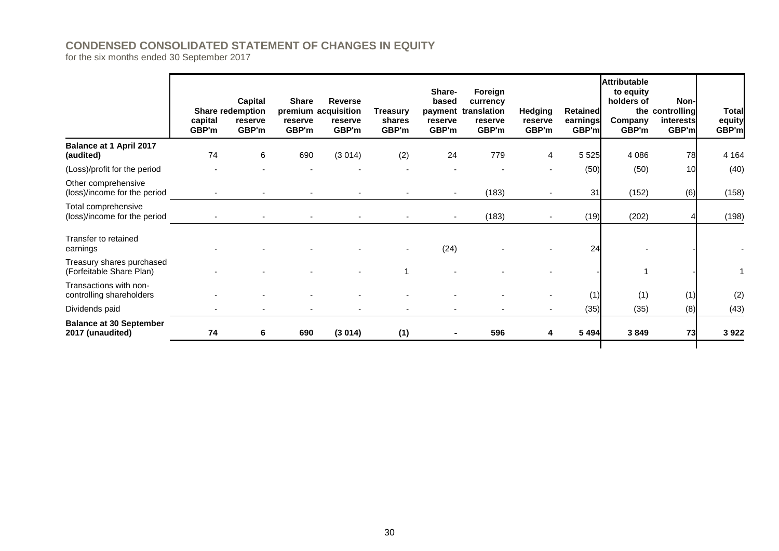# **CONDENSED CONSOLIDATED STATEMENT OF CHANGES IN EQUITY**

|                                                       | capital<br>GBP'm | Capital<br><b>Share redemption</b><br>reserve<br>GBP'm | <b>Share</b><br>reserve<br>GBP'm | <b>Reverse</b><br>premium acquisition<br>reserve<br>GBP'm | Treasurv<br>shares<br>GBP'm | Share-<br>based<br>reserve<br>GBP'm | Foreign<br>currency<br>payment translation<br>reserve<br>GBP'm | <b>Hedging</b><br>reserve<br>GBP'm | Retained<br>earnings<br>GBP'm | <b>Attributable</b><br>to equity<br>holders of<br>Company<br>GBP'm | Non-l<br>the controlling<br>interests<br>GBP'm | <b>Total</b><br>equity<br>GBP'm |
|-------------------------------------------------------|------------------|--------------------------------------------------------|----------------------------------|-----------------------------------------------------------|-----------------------------|-------------------------------------|----------------------------------------------------------------|------------------------------------|-------------------------------|--------------------------------------------------------------------|------------------------------------------------|---------------------------------|
| <b>Balance at 1 April 2017</b><br>(audited)           | 74               | 6                                                      | 690                              | (3014)                                                    | (2)                         | 24                                  | 779                                                            | $\overline{4}$                     | 5 5 2 5                       | 4 0 8 6                                                            | 78                                             | 4 1 6 4                         |
| (Loss)/profit for the period                          |                  |                                                        |                                  |                                                           |                             |                                     |                                                                |                                    | (50)                          | (50)                                                               | 10                                             | (40)                            |
| Other comprehensive<br>(loss)/income for the period   |                  |                                                        |                                  |                                                           |                             |                                     | (183)                                                          |                                    | 31                            | (152)                                                              | (6)                                            | (158)                           |
| Total comprehensive<br>(loss)/income for the period   |                  |                                                        |                                  | $\overline{\phantom{a}}$                                  |                             |                                     | (183)                                                          |                                    | (19)                          | (202)                                                              |                                                | (198)                           |
| Transfer to retained<br>earnings                      |                  |                                                        |                                  |                                                           |                             | (24)                                |                                                                |                                    | 24                            |                                                                    |                                                |                                 |
| Treasury shares purchased<br>(Forfeitable Share Plan) |                  |                                                        |                                  |                                                           |                             |                                     |                                                                |                                    |                               |                                                                    |                                                |                                 |
| Transactions with non-<br>controlling shareholders    |                  |                                                        |                                  |                                                           |                             |                                     |                                                                |                                    | (1)                           | (1)                                                                | (1)                                            | (2)                             |
| Dividends paid                                        |                  |                                                        |                                  |                                                           |                             |                                     |                                                                |                                    | (35)                          | (35)                                                               | (8)                                            | (43)                            |
| <b>Balance at 30 September</b><br>2017 (unaudited)    | 74               | 6                                                      | 690                              | (3014)                                                    | (1)                         |                                     | 596                                                            | 4                                  | 5 4 9 4                       | 3849                                                               | 73                                             | 3922                            |
|                                                       |                  |                                                        |                                  |                                                           |                             |                                     |                                                                |                                    |                               |                                                                    |                                                |                                 |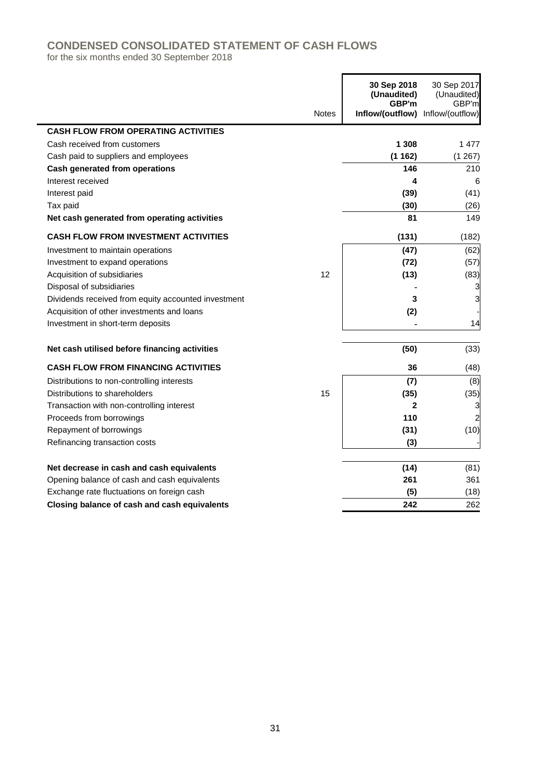# **CONDENSED CONSOLIDATED STATEMENT OF CASH FLOWS**

for the six months ended 30 September 2018

|                                                     |              | 30 Sep 2018<br>(Unaudited)<br>GBP'm | 30 Sep 2017<br>(Unaudited)<br>GBP'm |
|-----------------------------------------------------|--------------|-------------------------------------|-------------------------------------|
|                                                     | <b>Notes</b> | Inflow/(outflow) Inflow/(outflow)   |                                     |
| <b>CASH FLOW FROM OPERATING ACTIVITIES</b>          |              |                                     |                                     |
| Cash received from customers                        |              | 1 308                               | 1 477                               |
| Cash paid to suppliers and employees                |              | (1162)                              | (1267)                              |
| Cash generated from operations                      |              | 146                                 | 210                                 |
| Interest received                                   |              | 4                                   | 6                                   |
| Interest paid                                       |              | (39)                                | (41)                                |
| Tax paid                                            |              | (30)                                | (26)                                |
| Net cash generated from operating activities        |              | 81                                  | 149                                 |
| <b>CASH FLOW FROM INVESTMENT ACTIVITIES</b>         |              | (131)                               | (182)                               |
| Investment to maintain operations                   |              | (47)                                | (62)                                |
| Investment to expand operations                     |              | (72)                                | (57)                                |
| Acquisition of subsidiaries                         | 12           | (13)                                | (83)                                |
| Disposal of subsidiaries                            |              |                                     | 3                                   |
| Dividends received from equity accounted investment |              | 3                                   | 3                                   |
| Acquisition of other investments and loans          |              | (2)                                 |                                     |
| Investment in short-term deposits                   |              |                                     | 14                                  |
| Net cash utilised before financing activities       |              | (50)                                | (33)                                |
| <b>CASH FLOW FROM FINANCING ACTIVITIES</b>          |              | 36                                  | (48)                                |
| Distributions to non-controlling interests          |              | (7)                                 | (8)                                 |
| Distributions to shareholders                       | 15           | (35)                                | (35)                                |
| Transaction with non-controlling interest           |              | $\mathbf{2}$                        | 3                                   |
| Proceeds from borrowings                            |              | 110                                 |                                     |
| Repayment of borrowings                             |              | (31)                                | (10)                                |
| Refinancing transaction costs                       |              | (3)                                 |                                     |
| Net decrease in cash and cash equivalents           |              | (14)                                | (81)                                |
| Opening balance of cash and cash equivalents        |              | 261                                 | 361                                 |
| Exchange rate fluctuations on foreign cash          |              | (5)                                 | (18)                                |
| Closing balance of cash and cash equivalents        |              | 242                                 | 262                                 |

É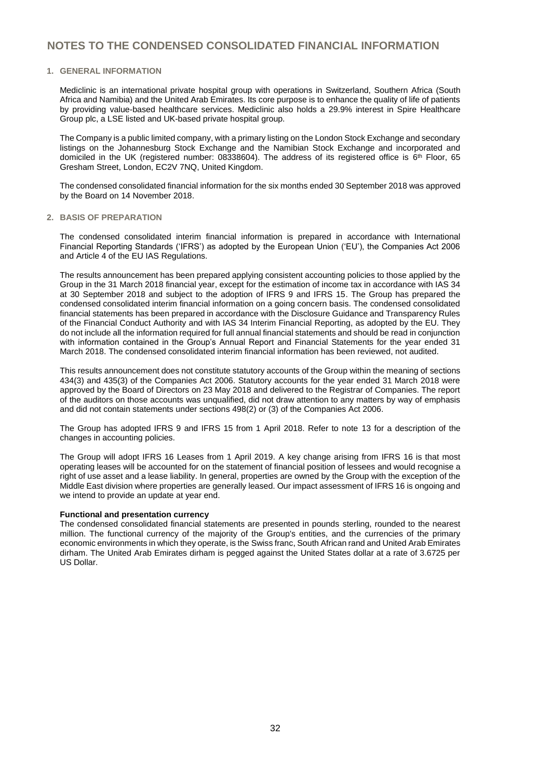#### **1. GENERAL INFORMATION**

Mediclinic is an international private hospital group with operations in Switzerland, Southern Africa (South Africa and Namibia) and the United Arab Emirates. Its core purpose is to enhance the quality of life of patients by providing value-based healthcare services. Mediclinic also holds a 29.9% interest in Spire Healthcare Group plc, a LSE listed and UK-based private hospital group.

The Company is a public limited company, with a primary listing on the London Stock Exchange and secondary listings on the Johannesburg Stock Exchange and the Namibian Stock Exchange and incorporated and domiciled in the UK (registered number: 08338604). The address of its registered office is 6 th Floor, 65 Gresham Street, London, EC2V 7NQ, United Kingdom.

The condensed consolidated financial information for the six months ended 30 September 2018 was approved by the Board on 14 November 2018.

#### **2. BASIS OF PREPARATION**

The condensed consolidated interim financial information is prepared in accordance with International Financial Reporting Standards ('IFRS') as adopted by the European Union ('EU'), the Companies Act 2006 and Article 4 of the EU IAS Regulations.

The results announcement has been prepared applying consistent accounting policies to those applied by the Group in the 31 March 2018 financial year, except for the estimation of income tax in accordance with IAS 34 at 30 September 2018 and subject to the adoption of IFRS 9 and IFRS 15. The Group has prepared the condensed consolidated interim financial information on a going concern basis. The condensed consolidated financial statements has been prepared in accordance with the Disclosure Guidance and Transparency Rules of the Financial Conduct Authority and with IAS 34 Interim Financial Reporting, as adopted by the EU. They do not include all the information required for full annual financial statements and should be read in conjunction with information contained in the Group's Annual Report and Financial Statements for the year ended 31 March 2018. The condensed consolidated interim financial information has been reviewed, not audited.

This results announcement does not constitute statutory accounts of the Group within the meaning of sections 434(3) and 435(3) of the Companies Act 2006. Statutory accounts for the year ended 31 March 2018 were approved by the Board of Directors on 23 May 2018 and delivered to the Registrar of Companies. The report of the auditors on those accounts was unqualified, did not draw attention to any matters by way of emphasis and did not contain statements under sections 498(2) or (3) of the Companies Act 2006.

The Group has adopted IFRS 9 and IFRS 15 from 1 April 2018. Refer to note 13 for a description of the changes in accounting policies.

The Group will adopt IFRS 16 Leases from 1 April 2019. A key change arising from IFRS 16 is that most operating leases will be accounted for on the statement of financial position of lessees and would recognise a right of use asset and a lease liability. In general, properties are owned by the Group with the exception of the Middle East division where properties are generally leased. Our impact assessment of IFRS 16 is ongoing and we intend to provide an update at year end.

#### **Functional and presentation currency**

The condensed consolidated financial statements are presented in pounds sterling, rounded to the nearest million. The functional currency of the majority of the Group's entities, and the currencies of the primary economic environments in which they operate, is the Swiss franc, South African rand and United Arab Emirates dirham. The United Arab Emirates dirham is pegged against the United States dollar at a rate of 3.6725 per US Dollar.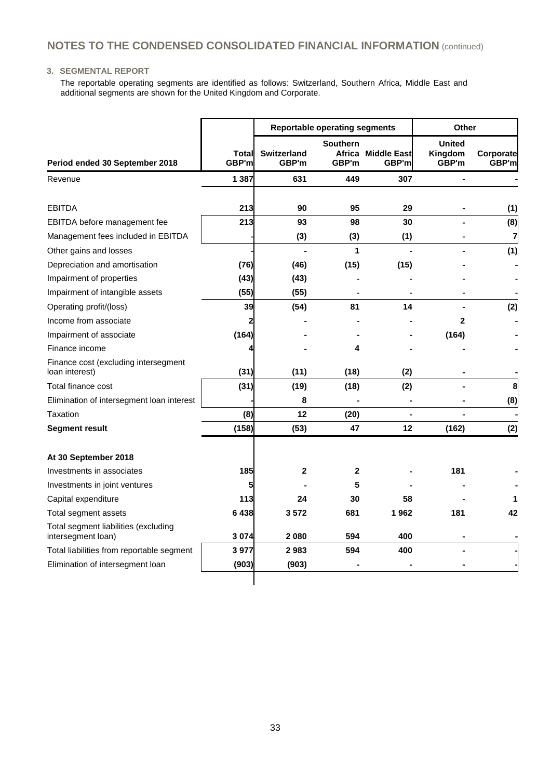## **3. SEGMENTAL REPORT**

The reportable operating segments are identified as follows: Switzerland, Southern Africa, Middle East and additional segments are shown for the United Kingdom and Corporate.

|                                                            |                | <b>Reportable operating segments</b> |                          |                             | Other                             |                    |  |
|------------------------------------------------------------|----------------|--------------------------------------|--------------------------|-----------------------------|-----------------------------------|--------------------|--|
| Period ended 30 September 2018                             | Total<br>GBP'm | <b>Switzerland</b><br>GBP'm          | <b>Southern</b><br>GBP'm | Africa Middle East<br>GBP'm | <b>United</b><br>Kingdom<br>GBP'm | Corporate<br>GBP'm |  |
| Revenue                                                    | 1 3 8 7        | 631                                  | 449                      | 307                         |                                   |                    |  |
| <b>EBITDA</b>                                              | 213            | 90                                   | 95                       | 29                          |                                   | (1)                |  |
| EBITDA before management fee                               | 213            | 93                                   | 98                       | 30                          |                                   | (8)                |  |
| Management fees included in EBITDA                         |                | (3)                                  | (3)                      | (1)                         |                                   | 7                  |  |
| Other gains and losses                                     |                |                                      | 1                        |                             |                                   | (1)                |  |
| Depreciation and amortisation                              | (76)           | (46)                                 | (15)                     | (15)                        |                                   |                    |  |
| Impairment of properties                                   | (43)           | (43)                                 |                          |                             |                                   |                    |  |
| Impairment of intangible assets                            | (55)           | (55)                                 |                          |                             |                                   |                    |  |
| Operating profit/(loss)                                    | 39             | (54)                                 | 81                       | 14                          |                                   | (2)                |  |
| Income from associate                                      | 2              |                                      |                          |                             | $\mathbf{2}$                      |                    |  |
| Impairment of associate                                    | (164)          |                                      |                          |                             | (164)                             |                    |  |
| Finance income                                             | 4              |                                      | 4                        |                             |                                   |                    |  |
| Finance cost (excluding intersegment<br>loan interest)     | (31)           | (11)                                 | (18)                     | (2)                         |                                   |                    |  |
| Total finance cost                                         | (31)           | (19)                                 | (18)                     | (2)                         |                                   | 8                  |  |
| Elimination of intersegment loan interest                  |                | 8                                    |                          |                             |                                   | (8)                |  |
| Taxation                                                   | (8)            | 12                                   | (20)                     |                             |                                   |                    |  |
| <b>Segment result</b>                                      | (158)          | (53)                                 | 47                       | 12                          | (162)                             | (2)                |  |
| At 30 September 2018                                       |                |                                      |                          |                             |                                   |                    |  |
| Investments in associates                                  | 185            | 2                                    | $\mathbf 2$              |                             | 181                               |                    |  |
| Investments in joint ventures                              | 5              |                                      | 5                        |                             |                                   |                    |  |
| Capital expenditure                                        | 113            | 24                                   | 30                       | 58                          |                                   | 1                  |  |
| Total segment assets                                       | 6438           | 3572                                 | 681                      | 1962                        | 181                               | 42                 |  |
| Total segment liabilities (excluding<br>intersegment loan) | 3 0 7 4        | 2080                                 | 594                      | 400                         |                                   |                    |  |
| Total liabilities from reportable segment                  | 3977           | 2983                                 | 594                      | 400                         |                                   |                    |  |
| Elimination of intersegment loan                           | (903)          | (903)                                |                          |                             |                                   |                    |  |
|                                                            |                |                                      |                          |                             |                                   |                    |  |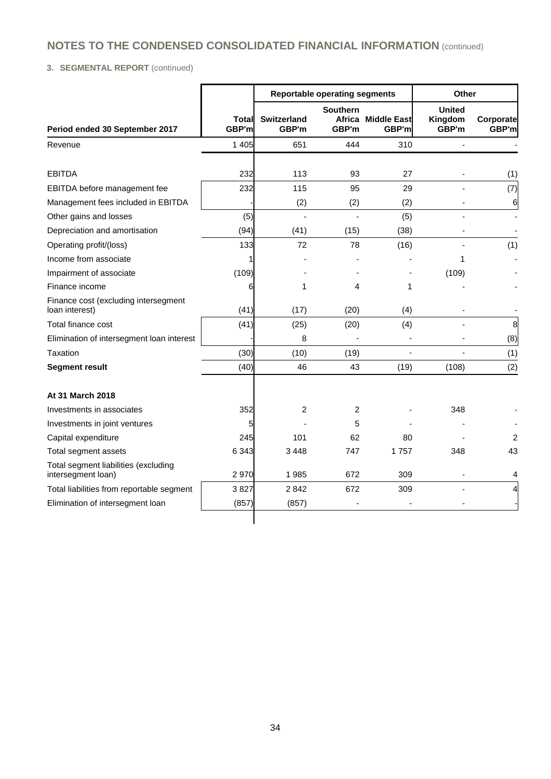# **3. SEGMENTAL REPORT** (continued)

|                                                            |                | <b>Reportable operating segments</b> |                          |                             | Other                             |                    |  |
|------------------------------------------------------------|----------------|--------------------------------------|--------------------------|-----------------------------|-----------------------------------|--------------------|--|
| Period ended 30 September 2017                             | Total<br>GBP'm | <b>Switzerland</b><br>GBP'm          | <b>Southern</b><br>GBP'm | Africa Middle East<br>GBP'm | <b>United</b><br>Kingdom<br>GBP'm | Corporate<br>GBP'm |  |
| Revenue                                                    | 1 4 0 5        | 651                                  | 444                      | 310                         |                                   |                    |  |
| <b>EBITDA</b>                                              | 232            | 113                                  | 93                       | 27                          |                                   | (1)                |  |
| EBITDA before management fee                               | 232            | 115                                  | 95                       | 29                          |                                   | (7)                |  |
| Management fees included in EBITDA                         |                | (2)                                  | (2)                      | (2)                         |                                   | 6                  |  |
| Other gains and losses                                     | (5)            |                                      |                          | (5)                         |                                   |                    |  |
| Depreciation and amortisation                              | (94)           | (41)                                 | (15)                     | (38)                        |                                   |                    |  |
| Operating profit/(loss)                                    | 133            | 72                                   | 78                       | (16)                        |                                   | (1)                |  |
| Income from associate                                      | 1              |                                      |                          |                             | 1                                 |                    |  |
| Impairment of associate                                    | (109)          |                                      |                          |                             | (109)                             |                    |  |
| Finance income                                             | 6              | 1                                    | 4                        | 1                           |                                   |                    |  |
| Finance cost (excluding intersegment<br>loan interest)     | (41)           | (17)                                 | (20)                     | (4)                         |                                   |                    |  |
| Total finance cost                                         | (41)           | (25)                                 | (20)                     | (4)                         |                                   | 8                  |  |
| Elimination of intersegment loan interest                  |                | 8                                    |                          |                             |                                   | (8)                |  |
| Taxation                                                   | (30)           | (10)                                 | (19)                     |                             |                                   | (1)                |  |
| <b>Segment result</b>                                      | (40)           | 46                                   | 43                       | (19)                        | (108)                             | (2)                |  |
| At 31 March 2018                                           |                |                                      |                          |                             |                                   |                    |  |
| Investments in associates                                  | 352            | 2                                    | 2                        |                             | 348                               |                    |  |
| Investments in joint ventures                              | 5              |                                      | 5                        |                             |                                   |                    |  |
| Capital expenditure                                        | 245            | 101                                  | 62                       | 80                          |                                   | 2                  |  |
| Total segment assets                                       | 6 3 4 3        | 3448                                 | 747                      | 1757                        | 348                               | 43                 |  |
| Total segment liabilities (excluding<br>intersegment loan) | 2970           | 1985                                 | 672                      | 309                         |                                   | 4                  |  |
| Total liabilities from reportable segment                  | 3827           | 2842                                 | 672                      | 309                         |                                   | 4                  |  |
| Elimination of intersegment loan                           | (857)          | (857)                                |                          |                             |                                   |                    |  |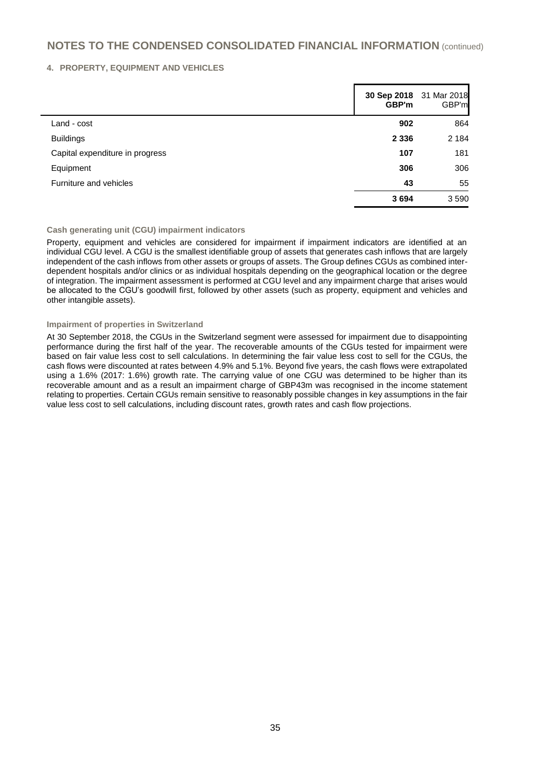## **4. PROPERTY, EQUIPMENT AND VEHICLES**

|                                 | 30 Sep 2018 31 Mar 2018<br>GBP'm | GBP'm   |
|---------------------------------|----------------------------------|---------|
| Land - cost                     | 902                              | 864     |
| <b>Buildings</b>                | 2 3 3 6                          | 2 1 8 4 |
| Capital expenditure in progress | 107                              | 181     |
| Equipment                       | 306                              | 306     |
| Furniture and vehicles          | 43                               | 55      |
|                                 | 3694                             | 3590    |

## **Cash generating unit (CGU) impairment indicators**

Property, equipment and vehicles are considered for impairment if impairment indicators are identified at an individual CGU level. A CGU is the smallest identifiable group of assets that generates cash inflows that are largely independent of the cash inflows from other assets or groups of assets. The Group defines CGUs as combined interdependent hospitals and/or clinics or as individual hospitals depending on the geographical location or the degree of integration. The impairment assessment is performed at CGU level and any impairment charge that arises would be allocated to the CGU's goodwill first, followed by other assets (such as property, equipment and vehicles and other intangible assets).

#### **Impairment of properties in Switzerland**

At 30 September 2018, the CGUs in the Switzerland segment were assessed for impairment due to disappointing performance during the first half of the year. The recoverable amounts of the CGUs tested for impairment were based on fair value less cost to sell calculations. In determining the fair value less cost to sell for the CGUs, the cash flows were discounted at rates between 4.9% and 5.1%. Beyond five years, the cash flows were extrapolated using a 1.6% (2017: 1.6%) growth rate. The carrying value of one CGU was determined to be higher than its recoverable amount and as a result an impairment charge of GBP43m was recognised in the income statement relating to properties. Certain CGUs remain sensitive to reasonably possible changes in key assumptions in the fair value less cost to sell calculations, including discount rates, growth rates and cash flow projections.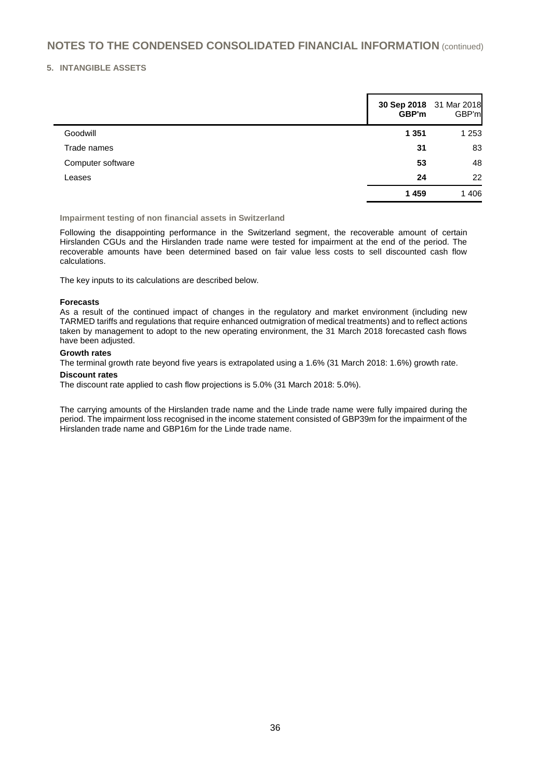## **5. INTANGIBLE ASSETS**

|                   | 30 Sep 2018 31 Mar 2018<br>GBP'm | GBP'm   |
|-------------------|----------------------------------|---------|
| Goodwill          | 1 3 5 1                          | 1 2 5 3 |
| Trade names       | 31                               | 83      |
| Computer software | 53                               | 48      |
| Leases            | 24                               | 22      |
|                   | 1459                             | 1 4 0 6 |

**Impairment testing of non financial assets in Switzerland**

Following the disappointing performance in the Switzerland segment, the recoverable amount of certain Hirslanden CGUs and the Hirslanden trade name were tested for impairment at the end of the period. The recoverable amounts have been determined based on fair value less costs to sell discounted cash flow calculations.

The key inputs to its calculations are described below.

#### **Forecasts**

As a result of the continued impact of changes in the regulatory and market environment (including new TARMED tariffs and regulations that require enhanced outmigration of medical treatments) and to reflect actions taken by management to adopt to the new operating environment, the 31 March 2018 forecasted cash flows have been adjusted.

#### **Growth rates**

The terminal growth rate beyond five years is extrapolated using a 1.6% (31 March 2018: 1.6%) growth rate.

#### **Discount rates**

The discount rate applied to cash flow projections is 5.0% (31 March 2018: 5.0%).

The carrying amounts of the Hirslanden trade name and the Linde trade name were fully impaired during the period. The impairment loss recognised in the income statement consisted of GBP39m for the impairment of the Hirslanden trade name and GBP16m for the Linde trade name.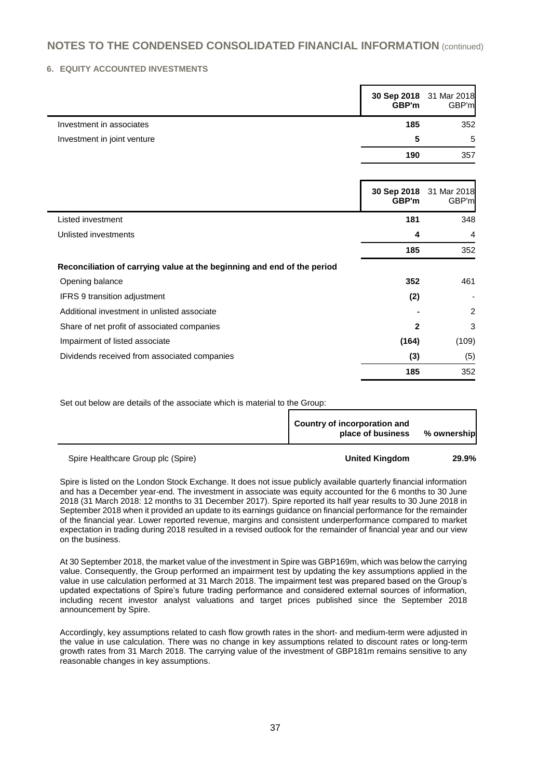## **6. EQUITY ACCOUNTED INVESTMENTS**

|                             | 30 Sep 2018 31 Mar 2018<br>GBP'm | GBP'm |
|-----------------------------|----------------------------------|-------|
| Investment in associates    | 185                              | 352   |
| Investment in joint venture |                                  | 5     |
|                             | 190                              | 357   |

|                                                                         | 30 Sep 2018<br>GBP'm | 31 Mar 2018<br>GBP'm |
|-------------------------------------------------------------------------|----------------------|----------------------|
| Listed investment                                                       | 181                  | 348                  |
| Unlisted investments                                                    | 4                    | 4                    |
|                                                                         | 185                  | 352                  |
| Reconciliation of carrying value at the beginning and end of the period |                      |                      |
| Opening balance                                                         | 352                  | 461                  |
| <b>IFRS 9 transition adjustment</b>                                     | (2)                  |                      |
| Additional investment in unlisted associate                             |                      | 2                    |
| Share of net profit of associated companies                             | 2                    | 3                    |
| Impairment of listed associate                                          | (164)                | (109)                |
| Dividends received from associated companies                            | (3)                  | (5)                  |
|                                                                         | 185                  | 352                  |

Set out below are details of the associate which is material to the Group:

| Country of incorporation and<br>place of business | % ownership |
|---------------------------------------------------|-------------|
|                                                   |             |

#### Spire Healthcare Group plc (Spire) **United Kingdom 29.9%**

Spire is listed on the London Stock Exchange. It does not issue publicly available quarterly financial information and has a December year-end. The investment in associate was equity accounted for the 6 months to 30 June 2018 (31 March 2018: 12 months to 31 December 2017). Spire reported its half year results to 30 June 2018 in September 2018 when it provided an update to its earnings guidance on financial performance for the remainder of the financial year. Lower reported revenue, margins and consistent underperformance compared to market expectation in trading during 2018 resulted in a revised outlook for the remainder of financial year and our view on the business.

At 30 September 2018, the market value of the investment in Spire was GBP169m, which was below the carrying value. Consequently, the Group performed an impairment test by updating the key assumptions applied in the value in use calculation performed at 31 March 2018. The impairment test was prepared based on the Group's updated expectations of Spire's future trading performance and considered external sources of information, including recent investor analyst valuations and target prices published since the September 2018 announcement by Spire.

Accordingly, key assumptions related to cash flow growth rates in the short- and medium-term were adjusted in the value in use calculation. There was no change in key assumptions related to discount rates or long-term growth rates from 31 March 2018. The carrying value of the investment of GBP181m remains sensitive to any reasonable changes in key assumptions.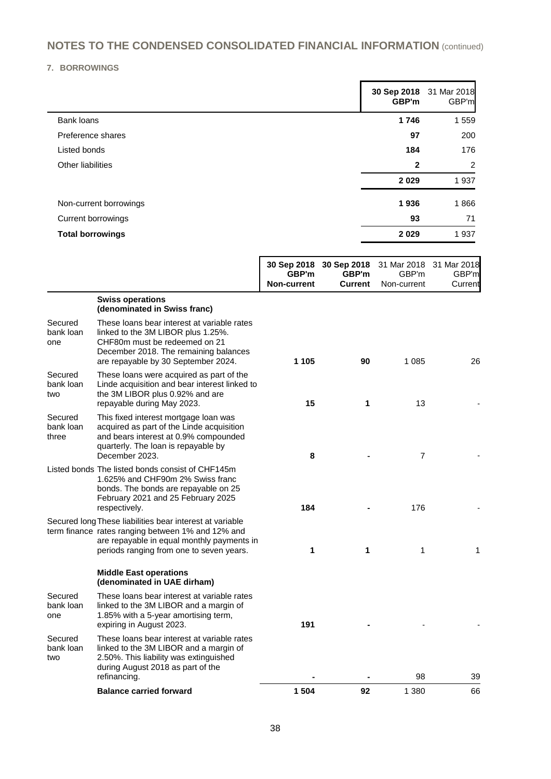## **7. BORROWINGS**

|                         | GBP'm        | 30 Sep 2018 31 Mar 2018<br>GBP'm |
|-------------------------|--------------|----------------------------------|
| <b>Bank loans</b>       | 1746         | 1559                             |
| Preference shares       | 97           | 200                              |
| Listed bonds            | 184          | 176                              |
| Other liabilities       | $\mathbf{2}$ | 2                                |
|                         | 2029         | 1937                             |
| Non-current borrowings  | 1936         | 1866                             |
| Current borrowings      | 93           | 71                               |
| <b>Total borrowings</b> | 2029         | 1937                             |

|                               |                                                                                                                                                                                                         | GBP'm<br>Non-current | 30 Sep 2018 30 Sep 2018<br>GBP'm<br><b>Current</b> | 31 Mar 2018<br>GBP'm<br>Non-current | 31 Mar 2018<br>GBP'm<br>Current |
|-------------------------------|---------------------------------------------------------------------------------------------------------------------------------------------------------------------------------------------------------|----------------------|----------------------------------------------------|-------------------------------------|---------------------------------|
|                               | <b>Swiss operations</b><br>(denominated in Swiss franc)                                                                                                                                                 |                      |                                                    |                                     |                                 |
| Secured<br>bank loan<br>one   | These loans bear interest at variable rates<br>linked to the 3M LIBOR plus 1.25%.<br>CHF80m must be redeemed on 21<br>December 2018. The remaining balances<br>are repayable by 30 September 2024.      | 1 1 0 5              | 90                                                 | 1 0 8 5                             | 26                              |
| Secured<br>bank loan<br>two   | These loans were acquired as part of the<br>Linde acquisition and bear interest linked to<br>the 3M LIBOR plus 0.92% and are<br>repayable during May 2023.                                              | 15                   | 1                                                  | 13                                  |                                 |
| Secured<br>bank loan<br>three | This fixed interest mortgage loan was<br>acquired as part of the Linde acquisition<br>and bears interest at 0.9% compounded<br>quarterly. The loan is repayable by<br>December 2023.                    | 8                    |                                                    | $\overline{7}$                      |                                 |
|                               | Listed bonds The listed bonds consist of CHF145m<br>1.625% and CHF90m 2% Swiss franc<br>bonds. The bonds are repayable on 25<br>February 2021 and 25 February 2025<br>respectively.                     | 184                  |                                                    | 176                                 |                                 |
|                               | Secured long These liabilities bear interest at variable<br>term finance rates ranging between 1% and 12% and<br>are repayable in equal monthly payments in<br>periods ranging from one to seven years. | 1                    | 1                                                  | 1                                   | 1                               |
|                               | <b>Middle East operations</b><br>(denominated in UAE dirham)                                                                                                                                            |                      |                                                    |                                     |                                 |
| Secured<br>bank loan<br>one   | These loans bear interest at variable rates<br>linked to the 3M LIBOR and a margin of<br>1.85% with a 5-year amortising term,<br>expiring in August 2023.                                               | 191                  |                                                    |                                     |                                 |
| Secured<br>bank loan<br>two   | These loans bear interest at variable rates<br>linked to the 3M LIBOR and a margin of<br>2.50%. This liability was extinguished<br>during August 2018 as part of the<br>refinancing.                    |                      |                                                    | 98                                  | 39                              |
|                               | <b>Balance carried forward</b>                                                                                                                                                                          | 1504                 | 92                                                 | 1 3 8 0                             | 66                              |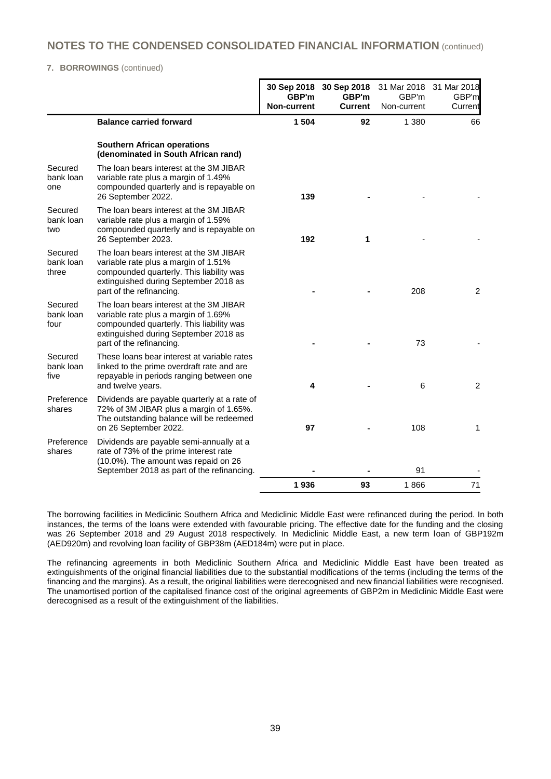## **7. BORROWINGS** (continued)

|                               |                                                                                                                                                                                                  | GBP'm<br><b>Non-current</b> | 30 Sep 2018 30 Sep 2018<br>GBP'm<br>Current | 31 Mar 2018<br>GBP'm<br>Non-current | 31 Mar 2018<br>GBP'ml<br>Current |
|-------------------------------|--------------------------------------------------------------------------------------------------------------------------------------------------------------------------------------------------|-----------------------------|---------------------------------------------|-------------------------------------|----------------------------------|
|                               | <b>Balance carried forward</b>                                                                                                                                                                   | 1504                        | 92                                          | 1 3 8 0                             | 66                               |
|                               | <b>Southern African operations</b><br>(denominated in South African rand)                                                                                                                        |                             |                                             |                                     |                                  |
| Secured<br>bank loan<br>one   | The loan bears interest at the 3M JIBAR<br>variable rate plus a margin of 1.49%<br>compounded quarterly and is repayable on<br>26 September 2022.                                                | 139                         |                                             |                                     |                                  |
| Secured<br>bank loan<br>two   | The loan bears interest at the 3M JIBAR<br>variable rate plus a margin of 1.59%<br>compounded quarterly and is repayable on<br>26 September 2023.                                                | 192                         | 1                                           |                                     |                                  |
| Secured<br>bank loan<br>three | The loan bears interest at the 3M JIBAR<br>variable rate plus a margin of 1.51%<br>compounded quarterly. This liability was<br>extinguished during September 2018 as<br>part of the refinancing. |                             |                                             | 208                                 | $\overline{c}$                   |
| Secured<br>bank loan<br>four  | The loan bears interest at the 3M JIBAR<br>variable rate plus a margin of 1.69%<br>compounded quarterly. This liability was<br>extinguished during September 2018 as<br>part of the refinancing. |                             |                                             | 73                                  |                                  |
| Secured<br>bank loan<br>five  | These loans bear interest at variable rates<br>linked to the prime overdraft rate and are<br>repayable in periods ranging between one<br>and twelve years.                                       | 4                           |                                             | 6                                   | $\overline{2}$                   |
| Preference<br>shares          | Dividends are payable quarterly at a rate of<br>72% of 3M JIBAR plus a margin of 1.65%.<br>The outstanding balance will be redeemed<br>on 26 September 2022.                                     | 97                          |                                             | 108                                 | 1                                |
| Preference<br>shares          | Dividends are payable semi-annually at a<br>rate of 73% of the prime interest rate<br>(10.0%). The amount was repaid on 26<br>September 2018 as part of the refinancing.                         |                             |                                             | 91                                  |                                  |
|                               |                                                                                                                                                                                                  | 1936                        | 93                                          | 1866                                | 71                               |

The borrowing facilities in Mediclinic Southern Africa and Mediclinic Middle East were refinanced during the period. In both instances, the terms of the loans were extended with favourable pricing. The effective date for the funding and the closing was 26 September 2018 and 29 August 2018 respectively. In Mediclinic Middle East, a new term loan of GBP192m (AED920m) and revolving loan facility of GBP38m (AED184m) were put in place.

The refinancing agreements in both Mediclinic Southern Africa and Mediclinic Middle East have been treated as extinguishments of the original financial liabilities due to the substantial modifications of the terms (including the terms of the financing and the margins). As a result, the original liabilities were derecognised and new financial liabilities were recognised. The unamortised portion of the capitalised finance cost of the original agreements of GBP2m in Mediclinic Middle East were derecognised as a result of the extinguishment of the liabilities.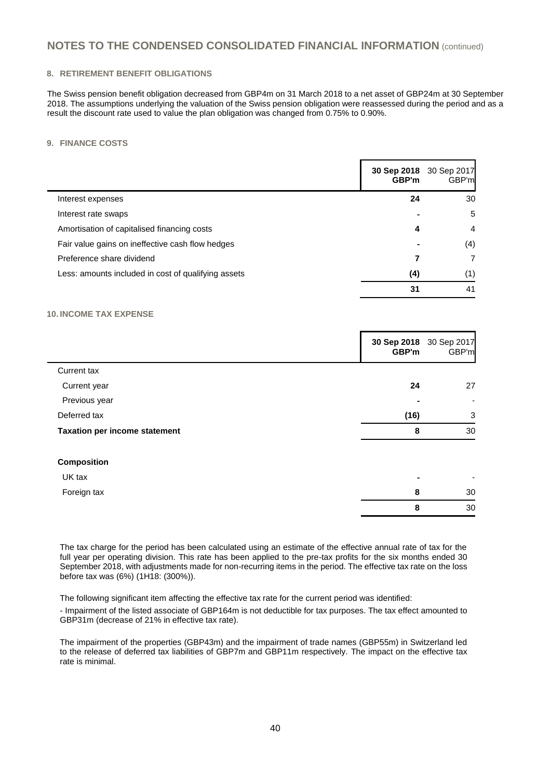#### **8. RETIREMENT BENEFIT OBLIGATIONS**

The Swiss pension benefit obligation decreased from GBP4m on 31 March 2018 to a net asset of GBP24m at 30 September 2018. The assumptions underlying the valuation of the Swiss pension obligation were reassessed during the period and as a result the discount rate used to value the plan obligation was changed from 0.75% to 0.90%.

#### **9. FINANCE COSTS**

|                                                     | 30 Sep 2018<br>GBP'm | 30 Sep 2017<br>GBP'm |
|-----------------------------------------------------|----------------------|----------------------|
| Interest expenses                                   | 24                   | 30                   |
| Interest rate swaps                                 |                      | 5                    |
| Amortisation of capitalised financing costs         | 4                    | $\overline{4}$       |
| Fair value gains on ineffective cash flow hedges    |                      | (4)                  |
| Preference share dividend                           |                      | $\overline{7}$       |
| Less: amounts included in cost of qualifying assets | (4)                  | (1)                  |
|                                                     | 31                   | 41                   |

#### **10. INCOME TAX EXPENSE**

|                                      | GBP'm | 30 Sep 2018 30 Sep 2017<br>GBP'm |
|--------------------------------------|-------|----------------------------------|
| Current tax                          |       |                                  |
| Current year                         | 24    | 27                               |
| Previous year                        |       |                                  |
| Deferred tax                         | (16)  | 3                                |
| <b>Taxation per income statement</b> | 8     | 30                               |
| <b>Composition</b>                   |       |                                  |
| UK tax                               |       |                                  |
| Foreign tax                          | 8     | 30                               |
|                                      | 8     | 30                               |

The tax charge for the period has been calculated using an estimate of the effective annual rate of tax for the full year per operating division. This rate has been applied to the pre-tax profits for the six months ended 30 September 2018, with adjustments made for non-recurring items in the period. The effective tax rate on the loss before tax was (6%) (1H18: (300%)).

The following significant item affecting the effective tax rate for the current period was identified:

- Impairment of the listed associate of GBP164m is not deductible for tax purposes. The tax effect amounted to GBP31m (decrease of 21% in effective tax rate).

The impairment of the properties (GBP43m) and the impairment of trade names (GBP55m) in Switzerland led to the release of deferred tax liabilities of GBP7m and GBP11m respectively. The impact on the effective tax rate is minimal.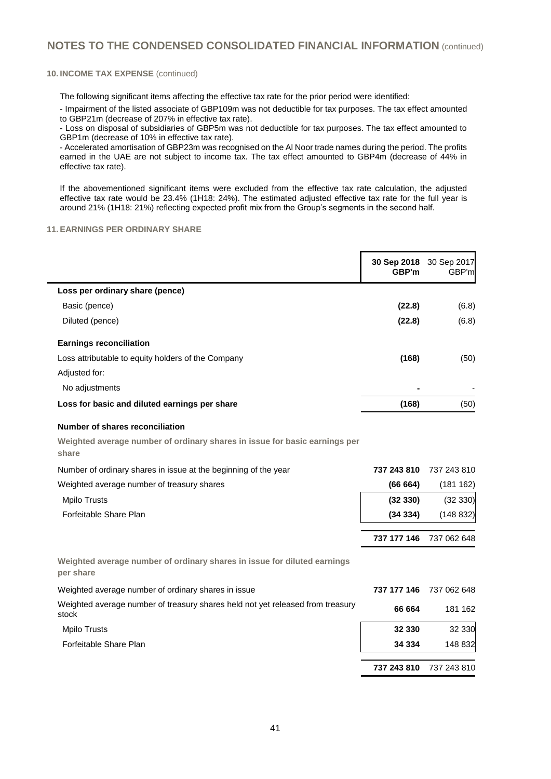### **10. INCOME TAX EXPENSE** (continued)

The following significant items affecting the effective tax rate for the prior period were identified:

- Impairment of the listed associate of GBP109m was not deductible for tax purposes. The tax effect amounted to GBP21m (decrease of 207% in effective tax rate).

- Loss on disposal of subsidiaries of GBP5m was not deductible for tax purposes. The tax effect amounted to GBP1m (decrease of 10% in effective tax rate).

- Accelerated amortisation of GBP23m was recognised on the Al Noor trade names during the period. The profits earned in the UAE are not subject to income tax. The tax effect amounted to GBP4m (decrease of 44% in effective tax rate).

If the abovementioned significant items were excluded from the effective tax rate calculation, the adjusted effective tax rate would be 23.4% (1H18: 24%). The estimated adjusted effective tax rate for the full year is around 21% (1H18: 21%) reflecting expected profit mix from the Group's segments in the second half.

## **11. EARNINGS PER ORDINARY SHARE**

|                                                                                       | GBP'm       | 30 Sep 2018 30 Sep 2017<br>GBP'm |
|---------------------------------------------------------------------------------------|-------------|----------------------------------|
| Loss per ordinary share (pence)                                                       |             |                                  |
| Basic (pence)                                                                         | (22.8)      | (6.8)                            |
| Diluted (pence)                                                                       | (22.8)      | (6.8)                            |
| <b>Earnings reconciliation</b>                                                        |             |                                  |
| Loss attributable to equity holders of the Company                                    | (168)       | (50)                             |
| Adjusted for:                                                                         |             |                                  |
| No adjustments                                                                        |             |                                  |
| Loss for basic and diluted earnings per share                                         | (168)       | (50)                             |
| Number of shares reconciliation                                                       |             |                                  |
| Weighted average number of ordinary shares in issue for basic earnings per<br>share   |             |                                  |
| Number of ordinary shares in issue at the beginning of the year                       | 737 243 810 | 737 243 810                      |
| Weighted average number of treasury shares                                            | (66664)     | (181162)                         |
| <b>Mpilo Trusts</b>                                                                   | (32 330)    | (32 330)                         |
| Forfeitable Share Plan                                                                | (34334)     | (148832)                         |
|                                                                                       | 737 177 146 | 737 062 648                      |
| Weighted average number of ordinary shares in issue for diluted earnings<br>per share |             |                                  |

| Weighted average number of ordinary shares in issue                                     | 737 177 146 | 737 062 648 |
|-----------------------------------------------------------------------------------------|-------------|-------------|
| Weighted average number of treasury shares held not yet released from treasury<br>stock | 66 664      | 181 162     |
| Mpilo Trusts                                                                            | 32 330      | 32 330      |
| Forfeitable Share Plan                                                                  | 34 334      | 148 832     |
|                                                                                         | 737 243 810 | 737 243 810 |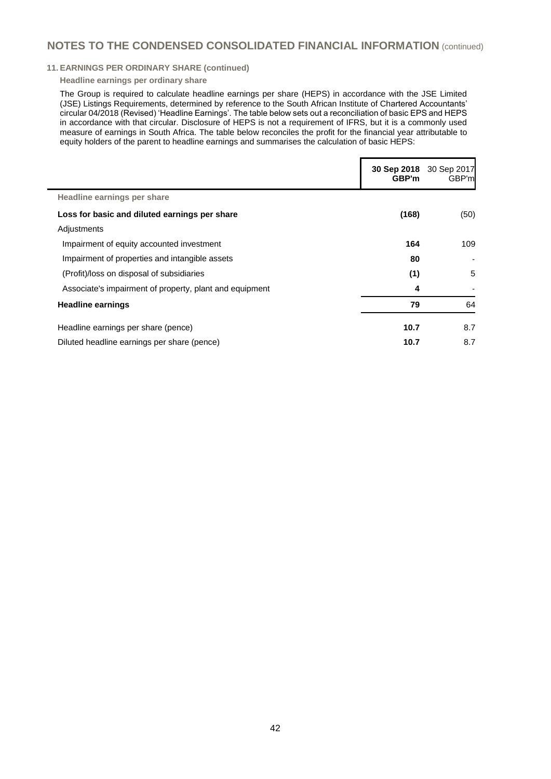## **11. EARNINGS PER ORDINARY SHARE (continued)**

#### **Headline earnings per ordinary share**

The Group is required to calculate headline earnings per share (HEPS) in accordance with the JSE Limited (JSE) Listings Requirements, determined by reference to the South African Institute of Chartered Accountants' circular 04/2018 (Revised) 'Headline Earnings'. The table below sets out a reconciliation of basic EPS and HEPS in accordance with that circular. Disclosure of HEPS is not a requirement of IFRS, but it is a commonly used measure of earnings in South Africa. The table below reconciles the profit for the financial year attributable to equity holders of the parent to headline earnings and summarises the calculation of basic HEPS:

|                                                         | 30 Sep 2018<br>GBP'm | 30 Sep 2017<br>GBP'ml |
|---------------------------------------------------------|----------------------|-----------------------|
| Headline earnings per share                             |                      |                       |
| Loss for basic and diluted earnings per share           | (168)                | (50)                  |
| Adjustments                                             |                      |                       |
| Impairment of equity accounted investment               | 164                  | 109                   |
| Impairment of properties and intangible assets          | 80                   |                       |
| (Profit)/loss on disposal of subsidiaries               | (1)                  | 5                     |
| Associate's impairment of property, plant and equipment | 4                    |                       |
| <b>Headline earnings</b>                                | 79                   | 64                    |
| Headline earnings per share (pence)                     | 10.7                 | 8.7                   |
| Diluted headline earnings per share (pence)             | 10.7                 | 8.7                   |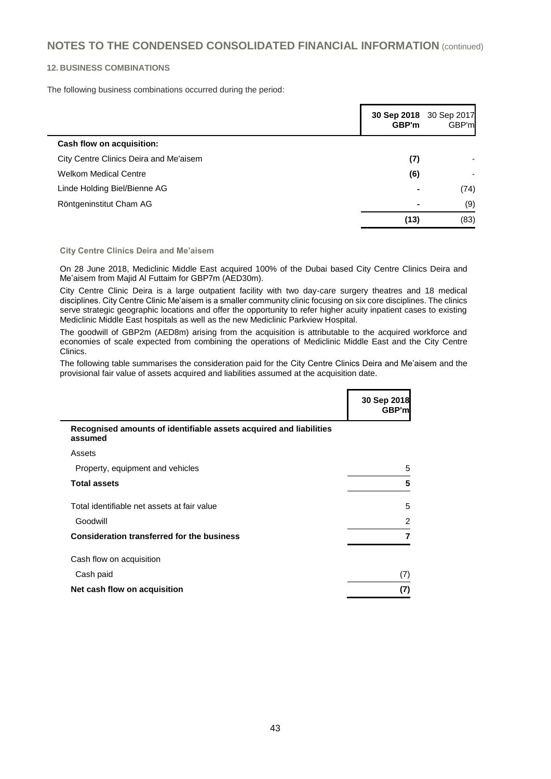### **12. BUSINESS COMBINATIONS**

The following business combinations occurred during the period:

|                                        | GBP'm | 30 Sep 2018 30 Sep 2017<br>GBP'm |
|----------------------------------------|-------|----------------------------------|
| Cash flow on acquisition:              |       |                                  |
| City Centre Clinics Deira and Me'aisem | (7)   |                                  |
| <b>Welkom Medical Centre</b>           | (6)   |                                  |
| Linde Holding Biel/Bienne AG           | ۰     | (74)                             |
| Röntgeninstitut Cham AG                |       | (9)                              |
|                                        | (13)  | (83)                             |

### **City Centre Clinics Deira and Me'aisem**

On 28 June 2018, Mediclinic Middle East acquired 100% of the Dubai based City Centre Clinics Deira and Me'aisem from Majid Al Futtaim for GBP7m (AED30m).

City Centre Clinic Deira is a large outpatient facility with two day-care surgery theatres and 18 medical disciplines. City Centre Clinic Me'aisem is a smaller community clinic focusing on six core disciplines. The clinics serve strategic geographic locations and offer the opportunity to refer higher acuity inpatient cases to existing Mediclinic Middle East hospitals as well as the new Mediclinic Parkview Hospital.

The goodwill of GBP2m (AED8m) arising from the acquisition is attributable to the acquired workforce and economies of scale expected from combining the operations of Mediclinic Middle East and the City Centre Clinics.

The following table summarises the consideration paid for the City Centre Clinics Deira and Me'aisem and the provisional fair value of assets acquired and liabilities assumed at the acquisition date.

|                                                                               | 30 Sep 2018<br>GBP'ml |
|-------------------------------------------------------------------------------|-----------------------|
| Recognised amounts of identifiable assets acquired and liabilities<br>assumed |                       |
| Assets                                                                        |                       |
| Property, equipment and vehicles                                              | 5                     |
| <b>Total assets</b>                                                           | 5                     |
| Total identifiable net assets at fair value                                   | 5                     |
| Goodwill                                                                      | $\mathcal{P}$         |
| <b>Consideration transferred for the business</b>                             | 7                     |
| Cash flow on acquisition                                                      |                       |
| Cash paid                                                                     | (7)                   |
| Net cash flow on acquisition                                                  | 7)                    |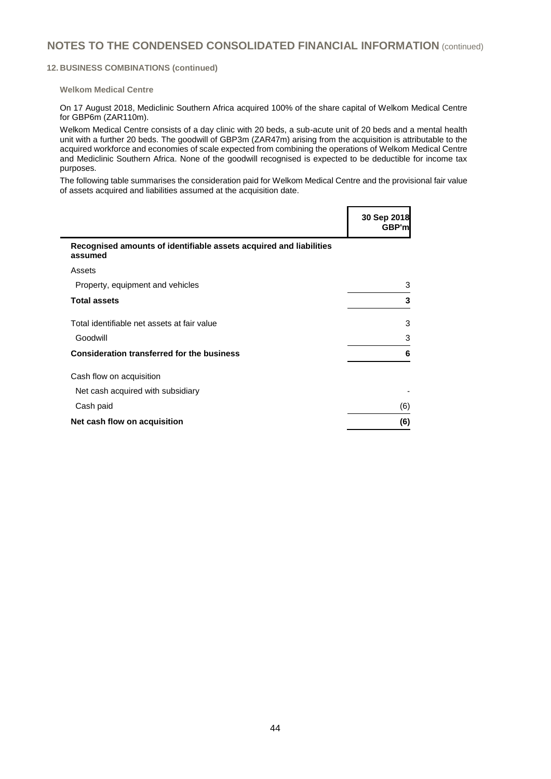#### **12. BUSINESS COMBINATIONS (continued)**

#### **Welkom Medical Centre**

On 17 August 2018, Mediclinic Southern Africa acquired 100% of the share capital of Welkom Medical Centre for GBP6m (ZAR110m).

Welkom Medical Centre consists of a day clinic with 20 beds, a sub-acute unit of 20 beds and a mental health unit with a further 20 beds. The goodwill of GBP3m (ZAR47m) arising from the acquisition is attributable to the acquired workforce and economies of scale expected from combining the operations of Welkom Medical Centre and Mediclinic Southern Africa. None of the goodwill recognised is expected to be deductible for income tax purposes.

The following table summarises the consideration paid for Welkom Medical Centre and the provisional fair value of assets acquired and liabilities assumed at the acquisition date.

|                                                                               | 30 Sep 2018<br>GBP'ml |
|-------------------------------------------------------------------------------|-----------------------|
| Recognised amounts of identifiable assets acquired and liabilities<br>assumed |                       |
| Assets                                                                        |                       |
| Property, equipment and vehicles                                              | 3                     |
| <b>Total assets</b>                                                           | 3                     |
| Total identifiable net assets at fair value                                   | 3                     |
| Goodwill                                                                      | 3                     |
| <b>Consideration transferred for the business</b>                             | 6                     |
| Cash flow on acquisition                                                      |                       |
| Net cash acquired with subsidiary                                             |                       |
| Cash paid                                                                     | (6)                   |
| Net cash flow on acquisition                                                  | (6)                   |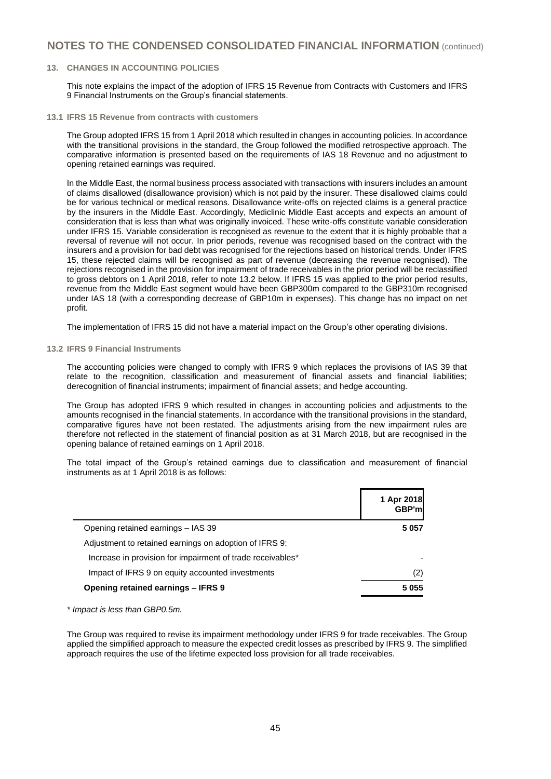## **13. CHANGES IN ACCOUNTING POLICIES**

This note explains the impact of the adoption of IFRS 15 Revenue from Contracts with Customers and IFRS 9 Financial Instruments on the Group's financial statements.

**13.1 IFRS 15 Revenue from contracts with customers**

The Group adopted IFRS 15 from 1 April 2018 which resulted in changes in accounting policies. In accordance with the transitional provisions in the standard, the Group followed the modified retrospective approach. The comparative information is presented based on the requirements of IAS 18 Revenue and no adjustment to opening retained earnings was required.

In the Middle East, the normal business process associated with transactions with insurers includes an amount of claims disallowed (disallowance provision) which is not paid by the insurer. These disallowed claims could be for various technical or medical reasons. Disallowance write-offs on rejected claims is a general practice by the insurers in the Middle East. Accordingly, Mediclinic Middle East accepts and expects an amount of consideration that is less than what was originally invoiced. These write-offs constitute variable consideration under IFRS 15. Variable consideration is recognised as revenue to the extent that it is highly probable that a reversal of revenue will not occur. In prior periods, revenue was recognised based on the contract with the insurers and a provision for bad debt was recognised for the rejections based on historical trends. Under IFRS 15, these rejected claims will be recognised as part of revenue (decreasing the revenue recognised). The rejections recognised in the provision for impairment of trade receivables in the prior period will be reclassified to gross debtors on 1 April 2018, refer to note 13.2 below. If IFRS 15 was applied to the prior period results, revenue from the Middle East segment would have been GBP300m compared to the GBP310m recognised under IAS 18 (with a corresponding decrease of GBP10m in expenses). This change has no impact on net profit.

The implementation of IFRS 15 did not have a material impact on the Group's other operating divisions.

## **13.2 IFRS 9 Financial Instruments**

The accounting policies were changed to comply with IFRS 9 which replaces the provisions of IAS 39 that relate to the recognition, classification and measurement of financial assets and financial liabilities; derecognition of financial instruments; impairment of financial assets; and hedge accounting.

The Group has adopted IFRS 9 which resulted in changes in accounting policies and adjustments to the amounts recognised in the financial statements. In accordance with the transitional provisions in the standard, comparative figures have not been restated. The adjustments arising from the new impairment rules are therefore not reflected in the statement of financial position as at 31 March 2018, but are recognised in the opening balance of retained earnings on 1 April 2018.

The total impact of the Group's retained earnings due to classification and measurement of financial instruments as at 1 April 2018 is as follows:

|                                                            | 1 Apr 2018<br>GBP'ml |
|------------------------------------------------------------|----------------------|
| Opening retained earnings - IAS 39                         | 5 0 5 7              |
| Adjustment to retained earnings on adoption of IFRS 9:     |                      |
| Increase in provision for impairment of trade receivables* |                      |
| Impact of IFRS 9 on equity accounted investments           | (2)                  |
| <b>Opening retained earnings - IFRS 9</b>                  | 5055                 |

*\* Impact is less than GBP0.5m.*

The Group was required to revise its impairment methodology under IFRS 9 for trade receivables. The Group applied the simplified approach to measure the expected credit losses as prescribed by IFRS 9. The simplified approach requires the use of the lifetime expected loss provision for all trade receivables.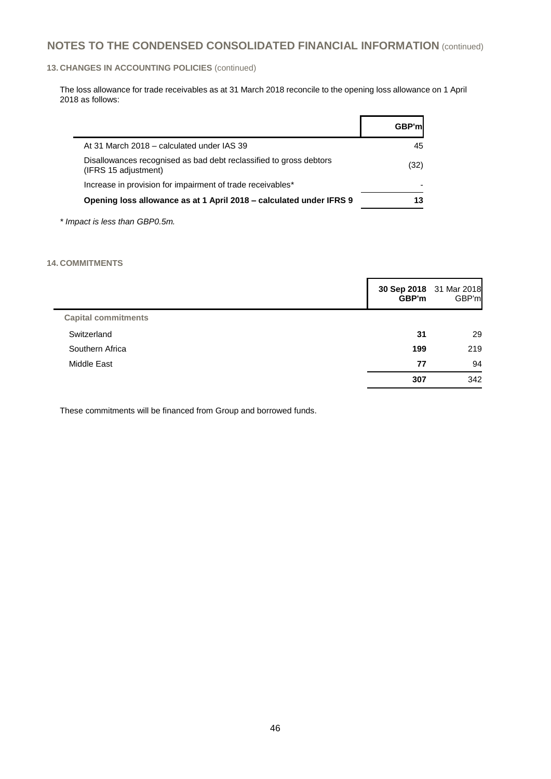## **13. CHANGES IN ACCOUNTING POLICIES** (continued)

The loss allowance for trade receivables as at 31 March 2018 reconcile to the opening loss allowance on 1 April 2018 as follows:

|                                                                                            | GBP'ml |
|--------------------------------------------------------------------------------------------|--------|
| At 31 March 2018 – calculated under IAS 39                                                 | 45     |
| Disallowances recognised as bad debt reclassified to gross debtors<br>(IFRS 15 adjustment) | (32)   |
| Increase in provision for impairment of trade receivables*                                 |        |
| Opening loss allowance as at 1 April 2018 – calculated under IFRS 9                        | 13     |
|                                                                                            |        |

*\* Impact is less than GBP0.5m.*

## **14. COMMITMENTS**

|                            | GBP'm | 30 Sep 2018 31 Mar 2018<br>GBP'm |
|----------------------------|-------|----------------------------------|
| <b>Capital commitments</b> |       |                                  |
| Switzerland                | 31    | 29                               |
| Southern Africa            | 199   | 219                              |
| Middle East                | 77    | 94                               |
|                            | 307   | 342                              |

These commitments will be financed from Group and borrowed funds.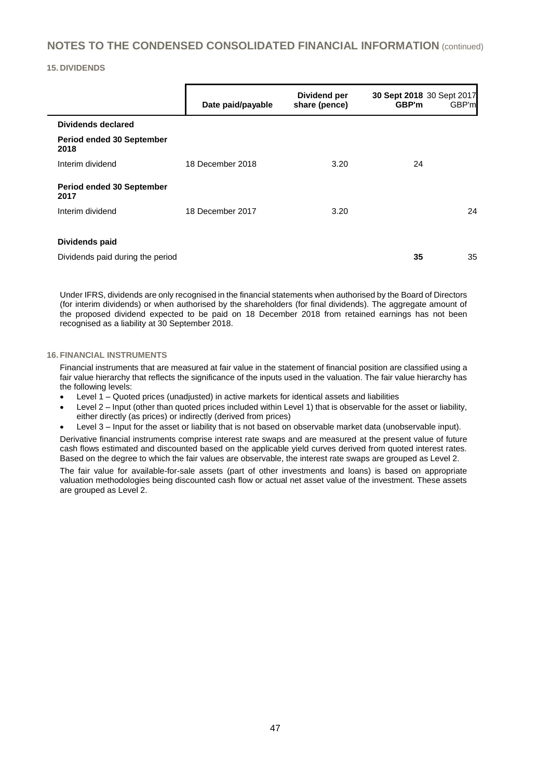### **15. DIVIDENDS**

|                                   | Date paid/payable | Dividend per<br>share (pence) | 30 Sept 2018 30 Sept 2017<br>GBP'm | GBP'm |
|-----------------------------------|-------------------|-------------------------------|------------------------------------|-------|
| Dividends declared                |                   |                               |                                    |       |
| Period ended 30 September<br>2018 |                   |                               |                                    |       |
| Interim dividend                  | 18 December 2018  | 3.20                          | 24                                 |       |
| Period ended 30 September<br>2017 |                   |                               |                                    |       |
| Interim dividend                  | 18 December 2017  | 3.20                          |                                    | 24    |
| Dividends paid                    |                   |                               |                                    |       |
| Dividends paid during the period  |                   |                               | 35                                 | 35    |

Under IFRS, dividends are only recognised in the financial statements when authorised by the Board of Directors (for interim dividends) or when authorised by the shareholders (for final dividends). The aggregate amount of the proposed dividend expected to be paid on 18 December 2018 from retained earnings has not been recognised as a liability at 30 September 2018.

#### **16. FINANCIAL INSTRUMENTS**

Financial instruments that are measured at fair value in the statement of financial position are classified using a fair value hierarchy that reflects the significance of the inputs used in the valuation. The fair value hierarchy has the following levels:

- Level 1 Quoted prices (unadjusted) in active markets for identical assets and liabilities
- Level 2 Input (other than quoted prices included within Level 1) that is observable for the asset or liability, either directly (as prices) or indirectly (derived from prices)
- Level 3 Input for the asset or liability that is not based on observable market data (unobservable input).

Derivative financial instruments comprise interest rate swaps and are measured at the present value of future cash flows estimated and discounted based on the applicable yield curves derived from quoted interest rates. Based on the degree to which the fair values are observable, the interest rate swaps are grouped as Level 2.

The fair value for available-for-sale assets (part of other investments and loans) is based on appropriate valuation methodologies being discounted cash flow or actual net asset value of the investment. These assets are grouped as Level 2.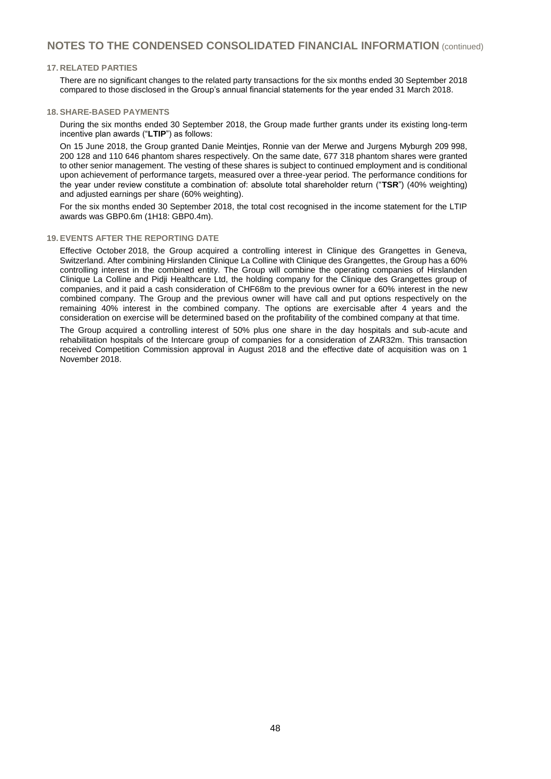## **17. RELATED PARTIES**

There are no significant changes to the related party transactions for the six months ended 30 September 2018 compared to those disclosed in the Group's annual financial statements for the year ended 31 March 2018.

#### **18. SHARE-BASED PAYMENTS**

During the six months ended 30 September 2018, the Group made further grants under its existing long-term incentive plan awards ("**LTIP**") as follows:

On 15 June 2018, the Group granted Danie Meintjes, Ronnie van der Merwe and Jurgens Myburgh 209 998, 200 128 and 110 646 phantom shares respectively. On the same date, 677 318 phantom shares were granted to other senior management. The vesting of these shares is subject to continued employment and is conditional upon achievement of performance targets, measured over a three-year period. The performance conditions for the year under review constitute a combination of: absolute total shareholder return ("**TSR**") (40% weighting) and adjusted earnings per share (60% weighting).

For the six months ended 30 September 2018, the total cost recognised in the income statement for the LTIP awards was GBP0.6m (1H18: GBP0.4m).

## **19. EVENTS AFTER THE REPORTING DATE**

Effective October 2018, the Group acquired a controlling interest in Clinique des Grangettes in Geneva, Switzerland. After combining Hirslanden Clinique La Colline with Clinique des Grangettes, the Group has a 60% controlling interest in the combined entity. The Group will combine the operating companies of Hirslanden Clinique La Colline and Pidji Healthcare Ltd, the holding company for the Clinique des Grangettes group of companies, and it paid a cash consideration of CHF68m to the previous owner for a 60% interest in the new combined company. The Group and the previous owner will have call and put options respectively on the remaining 40% interest in the combined company. The options are exercisable after 4 years and the consideration on exercise will be determined based on the profitability of the combined company at that time.

The Group acquired a controlling interest of 50% plus one share in the day hospitals and sub-acute and rehabilitation hospitals of the Intercare group of companies for a consideration of ZAR32m. This transaction received Competition Commission approval in August 2018 and the effective date of acquisition was on 1 November 2018.